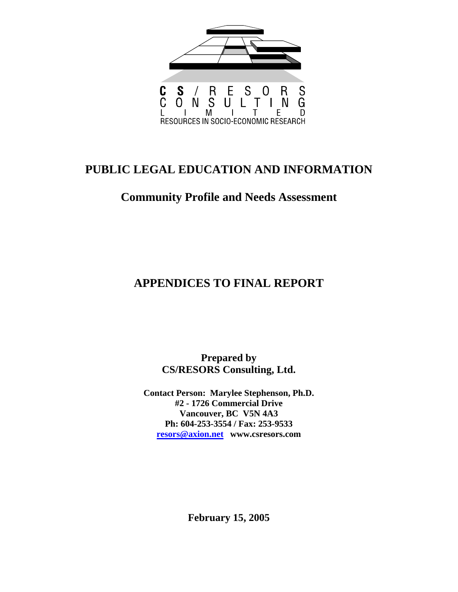

# **PUBLIC LEGAL EDUCATION AND INFORMATION**

## **Community Profile and Needs Assessment**

# **APPENDICES TO FINAL REPORT**

**Prepared by CS/RESORS Consulting, Ltd.** 

**Contact Person: Marylee Stephenson, Ph.D. #2 - 1726 Commercial Drive Vancouver, BC V5N 4A3 Ph: 604-253-3554 / Fax: 253-9533 resors@axion.net www.csresors.com**

**February 15, 2005**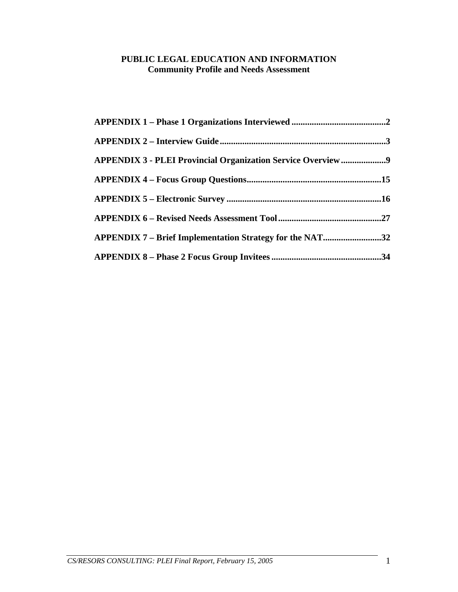## **PUBLIC LEGAL EDUCATION AND INFORMATION Community Profile and Needs Assessment**

| APPENDIX 3 - PLEI Provincial Organization Service Overview9 |  |
|-------------------------------------------------------------|--|
|                                                             |  |
|                                                             |  |
|                                                             |  |
| APPENDIX 7 – Brief Implementation Strategy for the NAT32    |  |
|                                                             |  |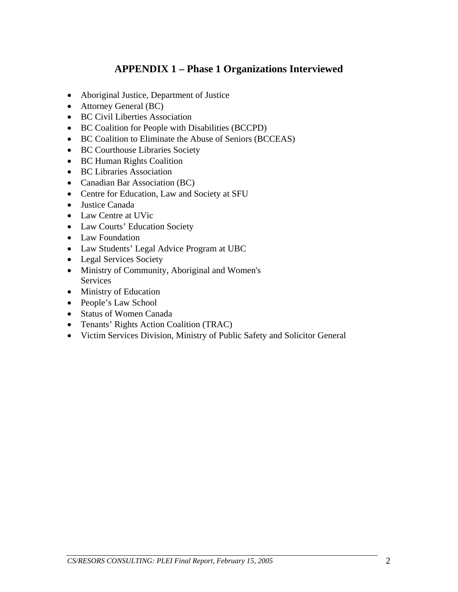## **APPENDIX 1 – Phase 1 Organizations Interviewed**

- <span id="page-2-0"></span>• Aboriginal Justice, Department of Justice
- Attorney General (BC)
- BC Civil Liberties Association
- BC Coalition for People with Disabilities (BCCPD)
- BC Coalition to Eliminate the Abuse of Seniors (BCCEAS)
- BC Courthouse Libraries Society
- BC Human Rights Coalition
- BC Libraries Association
- Canadian Bar Association (BC)
- Centre for Education, Law and Society at SFU
- Justice Canada
- Law Centre at UVic
- Law Courts' Education Society
- Law Foundation
- Law Students' Legal Advice Program at UBC
- Legal Services Society
- Ministry of Community, Aboriginal and Women's Services
- Ministry of Education
- People's Law School
- Status of Women Canada
- Tenants' Rights Action Coalition (TRAC)
- Victim Services Division, Ministry of Public Safety and Solicitor General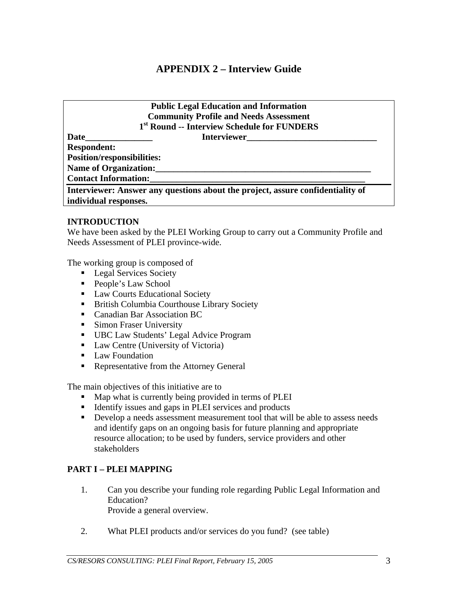## **APPENDIX 2 – Interview Guide**

## **Public Legal Education and Information Community Profile and Needs Assessment 1st Round -- Interview Schedule for FUNDERS**

<span id="page-3-0"></span>Date **Date Interviewer Respondent: Position/responsibilities:**  Name of Organization: **Contact Information:\_\_\_\_\_\_\_\_\_\_\_\_\_\_\_\_\_\_\_\_\_\_\_\_\_\_\_\_\_\_\_\_\_\_\_\_\_\_\_\_\_\_\_\_\_\_\_\_ Interviewer: Answer any questions about the project, assure confidentiality of** 

**individual responses.** 

#### **INTRODUCTION**

We have been asked by the PLEI Working Group to carry out a Community Profile and Needs Assessment of PLEI province-wide.

The working group is composed of

- **Legal Services Society**
- People's Law School
- **Law Courts Educational Society**
- **British Columbia Courthouse Library Society**
- **Canadian Bar Association BC**
- **Simon Fraser University**
- UBC Law Students' Legal Advice Program
- Law Centre (University of Victoria)
- **Law Foundation**
- Representative from the Attorney General

The main objectives of this initiative are to

- Map what is currently being provided in terms of PLEI
- Identify issues and gaps in PLEI services and products
- Develop a needs assessment measurement tool that will be able to assess needs and identify gaps on an ongoing basis for future planning and appropriate resource allocation; to be used by funders, service providers and other stakeholders

## **PART I – PLEI MAPPING**

- 1. Can you describe your funding role regarding Public Legal Information and Education? Provide a general overview.
- 2. What PLEI products and/or services do you fund? (see table)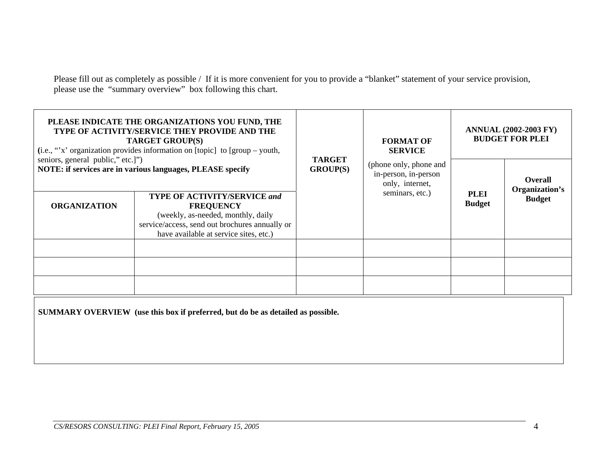Please fill out as completely as possible / If it is more convenient for you to provide a "blanket" statement of your service provision, please use the "summary overview" box following this chart.

| PLEASE INDICATE THE ORGANIZATIONS YOU FUND, THE<br>TYPE OF ACTIVITY/SERVICE THEY PROVIDE AND THE<br><b>TARGET GROUP(S)</b><br>(i.e., "x' organization provides information on [topic] to $[group - youth,$                                                                                                         |  |                                  | <b>FORMAT OF</b><br><b>SERVICE</b>                                                   |                              | <b>ANNUAL (2002-2003 FY)</b><br><b>BUDGET FOR PLEI</b> |
|--------------------------------------------------------------------------------------------------------------------------------------------------------------------------------------------------------------------------------------------------------------------------------------------------------------------|--|----------------------------------|--------------------------------------------------------------------------------------|------------------------------|--------------------------------------------------------|
| seniors, general public," etc.]"<br>NOTE: if services are in various languages, PLEASE specify<br><b>TYPE OF ACTIVITY/SERVICE and</b><br><b>ORGANIZATION</b><br><b>FREQUENCY</b><br>(weekly, as-needed, monthly, daily<br>service/access, send out brochures annually or<br>have available at service sites, etc.) |  | <b>TARGET</b><br><b>GROUP(S)</b> | (phone only, phone and<br>in-person, in-person<br>only, internet,<br>seminars, etc.) | <b>PLEI</b><br><b>Budget</b> | <b>Overall</b><br>Organization's<br><b>Budget</b>      |
|                                                                                                                                                                                                                                                                                                                    |  |                                  |                                                                                      |                              |                                                        |
|                                                                                                                                                                                                                                                                                                                    |  |                                  |                                                                                      |                              |                                                        |
|                                                                                                                                                                                                                                                                                                                    |  |                                  |                                                                                      |                              |                                                        |

**SUMMARY OVERVIEW (use this box if preferred, but do be as detailed as possible.**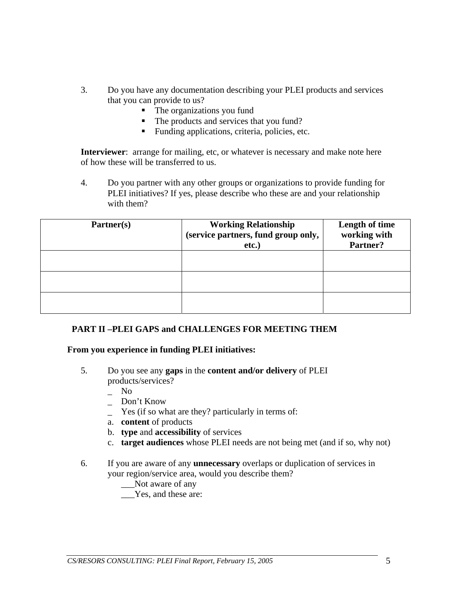- 3. Do you have any documentation describing your PLEI products and services that you can provide to us?
	- The organizations you fund
	- The products and services that you fund?
	- Funding applications, criteria, policies, etc.

**Interviewer**: arrange for mailing, etc, or whatever is necessary and make note here of how these will be transferred to us.

4. Do you partner with any other groups or organizations to provide funding for PLEI initiatives? If yes, please describe who these are and your relationship with them?

| Partner(s) | <b>Working Relationship</b><br>(service partners, fund group only,<br>etc.) | <b>Length of time</b><br>working with<br>Partner? |
|------------|-----------------------------------------------------------------------------|---------------------------------------------------|
|            |                                                                             |                                                   |
|            |                                                                             |                                                   |
|            |                                                                             |                                                   |

## **PART II –PLEI GAPS and CHALLENGES FOR MEETING THEM**

#### **From you experience in funding PLEI initiatives:**

5. Do you see any **gaps** in the **content and/or delivery** of PLEI products/services?

N<sub>o</sub>

- \_ Don't Know
- Yes (if so what are they? particularly in terms of:
- a. **content** of products
- b. **type** and **accessibility** of services
- c. **target audiences** whose PLEI needs are not being met (and if so, why not)
- 6. If you are aware of any **unnecessary** overlaps or duplication of services in your region/service area, would you describe them?
	- Not aware of any
	- Yes, and these are: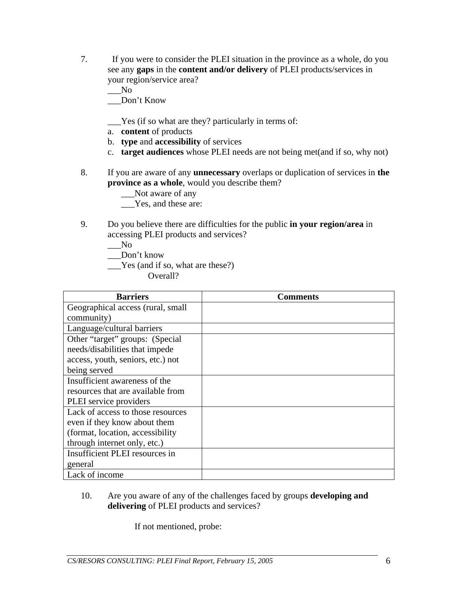- 7. If you were to consider the PLEI situation in the province as a whole, do you see any **gaps** in the **content and/or delivery** of PLEI products/services in your region/service area?
	- $\sqrt{N}$

\_\_\_Don't Know

- \_\_\_Yes (if so what are they? particularly in terms of:
- a. **content** of products
- b. **type** and **accessibility** of services
- c. **target audiences** whose PLEI needs are not being met(and if so, why not)
- 8. If you are aware of any **unnecessary** overlaps or duplication of services in **the province as a whole**, would you describe them?

\_\_\_Not aware of any

\_\_\_Yes, and these are:

9. Do you believe there are difficulties for the public **in your region/area** in accessing PLEI products and services?

 $\sqrt{N}$ 

Don't know

\_\_\_Yes (and if so, what are these?)

Overall?

| <b>Barriers</b>                   | Comments |
|-----------------------------------|----------|
| Geographical access (rural, small |          |
| community)                        |          |
| Language/cultural barriers        |          |
| Other "target" groups: (Special   |          |
| needs/disabilities that impede    |          |
| access, youth, seniors, etc.) not |          |
| being served                      |          |
| Insufficient awareness of the     |          |
| resources that are available from |          |
| PLEI service providers            |          |
| Lack of access to those resources |          |
| even if they know about them      |          |
| (format, location, accessibility  |          |
| through internet only, etc.)      |          |
| Insufficient PLEI resources in    |          |
| general                           |          |
| Lack of income                    |          |

10. Are you aware of any of the challenges faced by groups **developing and delivering** of PLEI products and services?

If not mentioned, probe: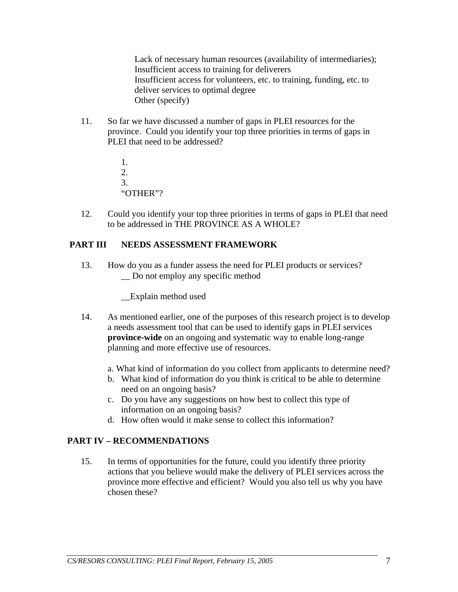Lack of necessary human resources (availability of intermediaries); Insufficient access to training for deliverers Insufficient access for volunteers, etc. to training, funding, etc. to deliver services to optimal degree Other (specify)

11. So far we have discussed a number of gaps in PLEI resources for the province. Could you identify your top three priorities in terms of gaps in PLEI that need to be addressed?

```
1. 
2. 
3. 
 "OTHER"?
```
12. Could you identify your top three priorities in terms of gaps in PLEI that need to be addressed in THE PROVINCE AS A WHOLE?

## **PART III NEEDS ASSESSMENT FRAMEWORK**

13. How do you as a funder assess the need for PLEI products or services? Do not employ any specific method

\_\_Explain method used

- 14. As mentioned earlier, one of the purposes of this research project is to develop a needs assessment tool that can be used to identify gaps in PLEI services **province-wide** on an ongoing and systematic way to enable long-range planning and more effective use of resources.
	- a. What kind of information do you collect from applicants to determine need?
	- b. What kind of information do you think is critical to be able to determine need on an ongoing basis?
	- c. Do you have any suggestions on how best to collect this type of information on an ongoing basis?
	- d. How often would it make sense to collect this information?

## **PART IV – RECOMMENDATIONS**

15. In terms of opportunities for the future, could you identify three priority actions that you believe would make the delivery of PLEI services across the province more effective and efficient? Would you also tell us why you have chosen these?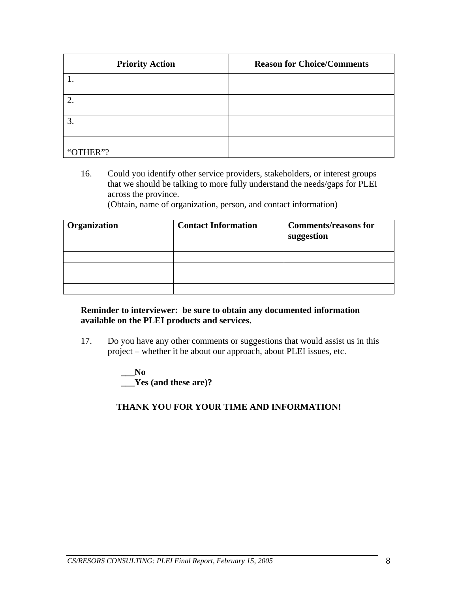| <b>Priority Action</b> | <b>Reason for Choice/Comments</b> |
|------------------------|-----------------------------------|
|                        |                                   |
|                        |                                   |
| 3.                     |                                   |
| "OTHER"?               |                                   |

16. Could you identify other service providers, stakeholders, or interest groups that we should be talking to more fully understand the needs/gaps for PLEI across the province.

(Obtain, name of organization, person, and contact information)

| Organization | <b>Contact Information</b> | <b>Comments/reasons for</b><br>suggestion |
|--------------|----------------------------|-------------------------------------------|
|              |                            |                                           |
|              |                            |                                           |
|              |                            |                                           |
|              |                            |                                           |
|              |                            |                                           |

### **Reminder to interviewer: be sure to obtain any documented information available on the PLEI products and services.**

17. Do you have any other comments or suggestions that would assist us in this project – whether it be about our approach, about PLEI issues, etc.

> **\_\_\_No \_\_\_Yes (and these are)?**

## **THANK YOU FOR YOUR TIME AND INFORMATION!**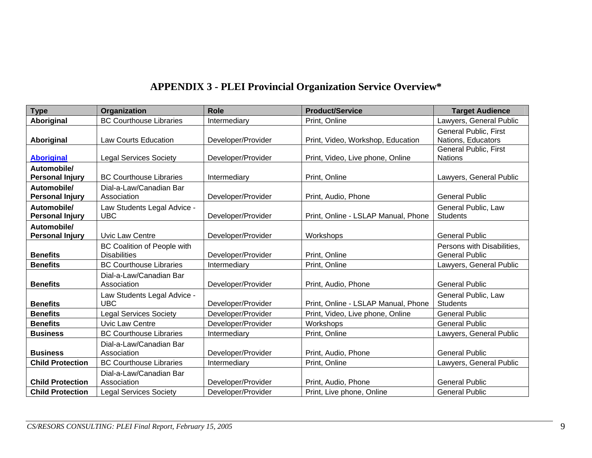# **APPENDIX 3 - PLEI Provincial Organization Service Overview\***

<span id="page-9-0"></span>

| <b>Type</b>                           | Organization                                              | <b>Role</b>        | <b>Product/Service</b>              | <b>Target Audience</b>                              |
|---------------------------------------|-----------------------------------------------------------|--------------------|-------------------------------------|-----------------------------------------------------|
| Aboriginal                            | <b>BC Courthouse Libraries</b>                            | Intermediary       | Print, Online                       | Lawyers, General Public                             |
| Aboriginal                            | <b>Law Courts Education</b>                               | Developer/Provider | Print, Video, Workshop, Education   | <b>General Public, First</b><br>Nations, Educators  |
| <b>Aboriginal</b>                     | <b>Legal Services Society</b>                             | Developer/Provider | Print, Video, Live phone, Online    | <b>General Public, First</b><br><b>Nations</b>      |
| Automobile/<br><b>Personal Injury</b> | <b>BC Courthouse Libraries</b>                            | Intermediary       | Print, Online                       | Lawyers, General Public                             |
| Automobile/<br><b>Personal Injury</b> | Dial-a-Law/Canadian Bar<br>Association                    | Developer/Provider | Print, Audio, Phone                 | <b>General Public</b>                               |
| Automobile/<br><b>Personal Injury</b> | Law Students Legal Advice -<br><b>UBC</b>                 | Developer/Provider | Print, Online - LSLAP Manual, Phone | General Public, Law<br><b>Students</b>              |
| Automobile/<br><b>Personal Injury</b> | <b>Uvic Law Centre</b>                                    | Developer/Provider | Workshops                           | <b>General Public</b>                               |
| <b>Benefits</b>                       | <b>BC Coalition of People with</b><br><b>Disabilities</b> | Developer/Provider | Print, Online                       | Persons with Disabilities.<br><b>General Public</b> |
| <b>Benefits</b>                       | <b>BC Courthouse Libraries</b>                            | Intermediary       | Print, Online                       | Lawyers, General Public                             |
| <b>Benefits</b>                       | Dial-a-Law/Canadian Bar<br>Association                    | Developer/Provider | Print, Audio, Phone                 | <b>General Public</b>                               |
| <b>Benefits</b>                       | Law Students Legal Advice -<br><b>UBC</b>                 | Developer/Provider | Print, Online - LSLAP Manual, Phone | General Public, Law<br><b>Students</b>              |
| <b>Benefits</b>                       | <b>Legal Services Society</b>                             | Developer/Provider | Print, Video, Live phone, Online    | <b>General Public</b>                               |
| <b>Benefits</b>                       | <b>Uvic Law Centre</b>                                    | Developer/Provider | Workshops                           | <b>General Public</b>                               |
| <b>Business</b>                       | <b>BC Courthouse Libraries</b>                            | Intermediary       | Print, Online                       | Lawyers, General Public                             |
| <b>Business</b>                       | Dial-a-Law/Canadian Bar<br>Association                    | Developer/Provider | Print, Audio, Phone                 | <b>General Public</b>                               |
| <b>Child Protection</b>               | <b>BC Courthouse Libraries</b>                            | Intermediary       | Print, Online                       | Lawyers, General Public                             |
| <b>Child Protection</b>               | Dial-a-Law/Canadian Bar<br>Association                    | Developer/Provider | Print, Audio, Phone                 | <b>General Public</b>                               |
| <b>Child Protection</b>               | <b>Legal Services Society</b>                             | Developer/Provider | Print, Live phone, Online           | <b>General Public</b>                               |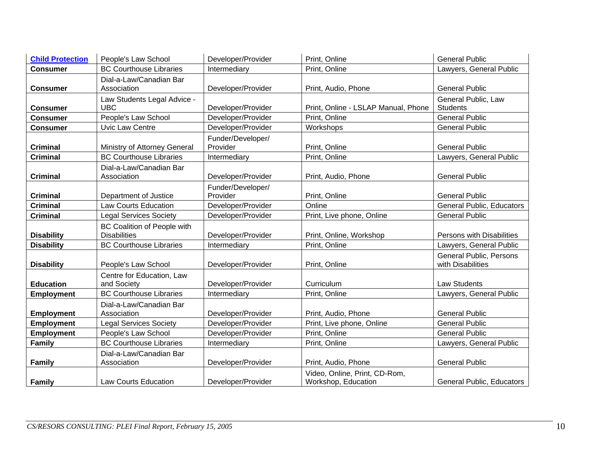| <b>Child Protection</b> | People's Law School                | Developer/Provider | Print, Online                       | <b>General Public</b>            |
|-------------------------|------------------------------------|--------------------|-------------------------------------|----------------------------------|
| <b>Consumer</b>         | <b>BC Courthouse Libraries</b>     | Intermediary       | Print, Online                       | Lawyers, General Public          |
|                         | Dial-a-Law/Canadian Bar            |                    |                                     |                                  |
| <b>Consumer</b>         | Association                        | Developer/Provider | Print, Audio, Phone                 | <b>General Public</b>            |
|                         | Law Students Legal Advice -        |                    |                                     | General Public, Law              |
| <b>Consumer</b>         | <b>UBC</b>                         | Developer/Provider | Print, Online - LSLAP Manual, Phone | <b>Students</b>                  |
| <b>Consumer</b>         | People's Law School                | Developer/Provider | Print, Online                       | <b>General Public</b>            |
| <b>Consumer</b>         | <b>Uvic Law Centre</b>             | Developer/Provider | Workshops                           | <b>General Public</b>            |
|                         |                                    | Funder/Developer/  |                                     |                                  |
| <b>Criminal</b>         | Ministry of Attorney General       | Provider           | Print, Online                       | <b>General Public</b>            |
| <b>Criminal</b>         | <b>BC Courthouse Libraries</b>     | Intermediary       | Print, Online                       | Lawyers, General Public          |
|                         | Dial-a-Law/Canadian Bar            |                    |                                     |                                  |
| <b>Criminal</b>         | Association                        | Developer/Provider | Print, Audio, Phone                 | <b>General Public</b>            |
|                         |                                    | Funder/Developer/  |                                     |                                  |
| <b>Criminal</b>         | Department of Justice              | Provider           | Print, Online                       | <b>General Public</b>            |
| <b>Criminal</b>         | <b>Law Courts Education</b>        | Developer/Provider | Online                              | <b>General Public, Educators</b> |
| <b>Criminal</b>         | <b>Legal Services Society</b>      | Developer/Provider | Print, Live phone, Online           | <b>General Public</b>            |
|                         | <b>BC Coalition of People with</b> |                    |                                     |                                  |
| <b>Disability</b>       | <b>Disabilities</b>                | Developer/Provider | Print, Online, Workshop             | Persons with Disabilities        |
| <b>Disability</b>       | <b>BC Courthouse Libraries</b>     | Intermediary       | Print, Online                       | Lawyers, General Public          |
|                         |                                    |                    |                                     | General Public, Persons          |
| <b>Disability</b>       | People's Law School                | Developer/Provider | Print, Online                       | with Disabilities                |
|                         | Centre for Education, Law          |                    |                                     |                                  |
| <b>Education</b>        | and Society                        | Developer/Provider | Curriculum                          | Law Students                     |
| <b>Employment</b>       | <b>BC Courthouse Libraries</b>     | Intermediary       | Print, Online                       | Lawyers, General Public          |
|                         | Dial-a-Law/Canadian Bar            |                    |                                     |                                  |
| <b>Employment</b>       | Association                        | Developer/Provider | Print, Audio, Phone                 | <b>General Public</b>            |
| <b>Employment</b>       | <b>Legal Services Society</b>      | Developer/Provider | Print, Live phone, Online           | <b>General Public</b>            |
| <b>Employment</b>       | People's Law School                | Developer/Provider | Print, Online                       | <b>General Public</b>            |
| <b>Family</b>           | <b>BC Courthouse Libraries</b>     | Intermediary       | Print, Online                       | Lawyers, General Public          |
|                         | Dial-a-Law/Canadian Bar            |                    |                                     |                                  |
| <b>Family</b>           | Association                        | Developer/Provider | Print, Audio, Phone                 | <b>General Public</b>            |
|                         |                                    |                    | Video, Online, Print, CD-Rom,       |                                  |
| <b>Family</b>           | Law Courts Education               | Developer/Provider | Workshop, Education                 | General Public, Educators        |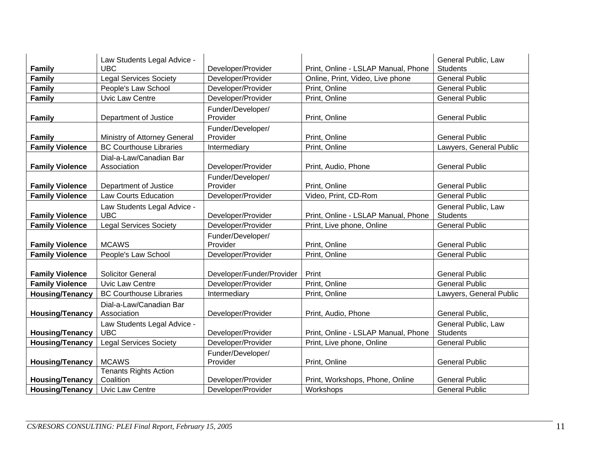|                        | Law Students Legal Advice -               |                               |                                     | General Public, Law                    |
|------------------------|-------------------------------------------|-------------------------------|-------------------------------------|----------------------------------------|
| <b>Family</b>          | <b>UBC</b>                                | Developer/Provider            | Print, Online - LSLAP Manual, Phone | <b>Students</b>                        |
| <b>Family</b>          | <b>Legal Services Society</b>             | Developer/Provider            | Online, Print, Video, Live phone    | <b>General Public</b>                  |
| Family                 | People's Law School                       | Developer/Provider            | Print, Online                       | <b>General Public</b>                  |
| <b>Family</b>          | Uvic Law Centre                           | Developer/Provider            | Print, Online                       | <b>General Public</b>                  |
| <b>Family</b>          | Department of Justice                     | Funder/Developer/<br>Provider | Print, Online                       | <b>General Public</b>                  |
| <b>Family</b>          | Ministry of Attorney General              | Funder/Developer/<br>Provider | Print, Online                       | <b>General Public</b>                  |
| <b>Family Violence</b> | <b>BC Courthouse Libraries</b>            | Intermediary                  | Print, Online                       | Lawyers, General Public                |
| <b>Family Violence</b> | Dial-a-Law/Canadian Bar<br>Association    | Developer/Provider            | Print, Audio, Phone                 | <b>General Public</b>                  |
| <b>Family Violence</b> | Department of Justice                     | Funder/Developer/<br>Provider | Print, Online                       | <b>General Public</b>                  |
| <b>Family Violence</b> | <b>Law Courts Education</b>               | Developer/Provider            | Video, Print, CD-Rom                | <b>General Public</b>                  |
| <b>Family Violence</b> | Law Students Legal Advice -<br><b>UBC</b> | Developer/Provider            | Print, Online - LSLAP Manual, Phone | General Public, Law<br><b>Students</b> |
| <b>Family Violence</b> | <b>Legal Services Society</b>             | Developer/Provider            | Print, Live phone, Online           | <b>General Public</b>                  |
| <b>Family Violence</b> | <b>MCAWS</b>                              | Funder/Developer/<br>Provider | Print, Online                       | <b>General Public</b>                  |
| <b>Family Violence</b> | People's Law School                       | Developer/Provider            | Print, Online                       | <b>General Public</b>                  |
| <b>Family Violence</b> | <b>Solicitor General</b>                  | Developer/Funder/Provider     | Print                               | <b>General Public</b>                  |
| <b>Family Violence</b> | <b>Uvic Law Centre</b>                    | Developer/Provider            | Print, Online                       | <b>General Public</b>                  |
| <b>Housing/Tenancy</b> | <b>BC Courthouse Libraries</b>            | Intermediary                  | Print, Online                       | Lawyers, General Public                |
| <b>Housing/Tenancy</b> | Dial-a-Law/Canadian Bar<br>Association    | Developer/Provider            | Print, Audio, Phone                 | General Public,                        |
| <b>Housing/Tenancy</b> | Law Students Legal Advice -<br><b>UBC</b> | Developer/Provider            | Print, Online - LSLAP Manual, Phone | General Public, Law<br><b>Students</b> |
| <b>Housing/Tenancy</b> | <b>Legal Services Society</b>             | Developer/Provider            | Print, Live phone, Online           | <b>General Public</b>                  |
| <b>Housing/Tenancy</b> | <b>MCAWS</b>                              | Funder/Developer/<br>Provider | Print, Online                       | <b>General Public</b>                  |
| <b>Housing/Tenancy</b> | <b>Tenants Rights Action</b><br>Coalition | Developer/Provider            | Print, Workshops, Phone, Online     | <b>General Public</b>                  |
| <b>Housing/Tenancy</b> | Uvic Law Centre                           | Developer/Provider            | Workshops                           | <b>General Public</b>                  |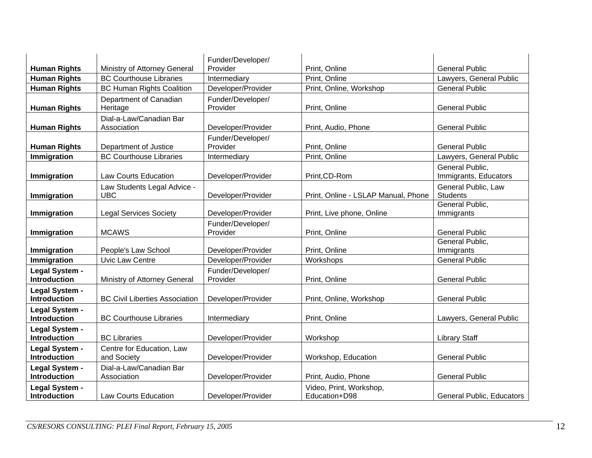|                                       |                                           | Funder/Developer/             |                                          |                                          |
|---------------------------------------|-------------------------------------------|-------------------------------|------------------------------------------|------------------------------------------|
| <b>Human Rights</b>                   | Ministry of Attorney General              | Provider                      | Print, Online                            | <b>General Public</b>                    |
| <b>Human Rights</b>                   | <b>BC Courthouse Libraries</b>            | Intermediary                  | Print, Online                            | Lawyers, General Public                  |
| <b>Human Rights</b>                   | <b>BC Human Rights Coalition</b>          | Developer/Provider            | Print, Online, Workshop                  | <b>General Public</b>                    |
| <b>Human Rights</b>                   | Department of Canadian<br>Heritage        | Funder/Developer/<br>Provider | Print, Online                            | <b>General Public</b>                    |
| <b>Human Rights</b>                   | Dial-a-Law/Canadian Bar<br>Association    | Developer/Provider            | Print, Audio, Phone                      | <b>General Public</b>                    |
| <b>Human Rights</b>                   | Department of Justice                     | Funder/Developer/<br>Provider | Print, Online                            | <b>General Public</b>                    |
| Immigration                           | <b>BC Courthouse Libraries</b>            | Intermediary                  | Print, Online                            | Lawyers, General Public                  |
| <b>Immigration</b>                    | <b>Law Courts Education</b>               | Developer/Provider            | Print, CD-Rom                            | General Public,<br>Immigrants, Educators |
| Immigration                           | Law Students Legal Advice -<br><b>UBC</b> | Developer/Provider            | Print, Online - LSLAP Manual, Phone      | General Public, Law<br><b>Students</b>   |
| Immigration                           | <b>Legal Services Society</b>             | Developer/Provider            | Print, Live phone, Online                | General Public,<br>Immigrants            |
| Immigration                           | <b>MCAWS</b>                              | Funder/Developer/<br>Provider | Print, Online                            | <b>General Public</b>                    |
| Immigration                           | People's Law School                       | Developer/Provider            | Print, Online                            | General Public,<br>Immigrants            |
| Immigration                           | Uvic Law Centre                           | Developer/Provider            | Workshops                                | <b>General Public</b>                    |
| Legal System -<br><b>Introduction</b> | Ministry of Attorney General              | Funder/Developer/<br>Provider | Print, Online                            | <b>General Public</b>                    |
| Legal System -<br><b>Introduction</b> | <b>BC Civil Liberties Association</b>     | Developer/Provider            | Print, Online, Workshop                  | <b>General Public</b>                    |
| Legal System -<br><b>Introduction</b> | <b>BC Courthouse Libraries</b>            | Intermediary                  | Print, Online                            | Lawyers, General Public                  |
| Legal System -<br><b>Introduction</b> | <b>BC Libraries</b>                       | Developer/Provider            | Workshop                                 | <b>Library Staff</b>                     |
| Legal System -<br><b>Introduction</b> | Centre for Education, Law<br>and Society  | Developer/Provider            | Workshop, Education                      | <b>General Public</b>                    |
| Legal System -<br><b>Introduction</b> | Dial-a-Law/Canadian Bar<br>Association    | Developer/Provider            | Print, Audio, Phone                      | <b>General Public</b>                    |
| Legal System -<br><b>Introduction</b> | <b>Law Courts Education</b>               | Developer/Provider            | Video, Print, Workshop,<br>Education+D98 | <b>General Public, Educators</b>         |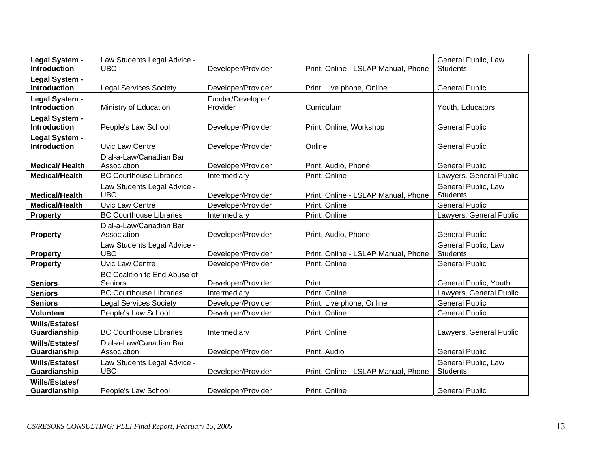| Legal System -<br><b>Introduction</b> | Law Students Legal Advice -<br><b>UBC</b> | Developer/Provider            | Print, Online - LSLAP Manual, Phone | General Public, Law<br><b>Students</b> |
|---------------------------------------|-------------------------------------------|-------------------------------|-------------------------------------|----------------------------------------|
| Legal System -                        |                                           |                               |                                     |                                        |
| <b>Introduction</b>                   | <b>Legal Services Society</b>             | Developer/Provider            | Print, Live phone, Online           | <b>General Public</b>                  |
| Legal System -<br><b>Introduction</b> | Ministry of Education                     | Funder/Developer/<br>Provider | Curriculum                          | Youth, Educators                       |
| Legal System -<br><b>Introduction</b> | People's Law School                       | Developer/Provider            | Print, Online, Workshop             | <b>General Public</b>                  |
| Legal System -                        |                                           |                               |                                     |                                        |
| <b>Introduction</b>                   | <b>Uvic Law Centre</b>                    | Developer/Provider            | Online                              | <b>General Public</b>                  |
| <b>Medical/Health</b>                 | Dial-a-Law/Canadian Bar<br>Association    | Developer/Provider            | Print, Audio, Phone                 | <b>General Public</b>                  |
| <b>Medical/Health</b>                 | <b>BC Courthouse Libraries</b>            | Intermediary                  | Print, Online                       | Lawyers, General Public                |
| <b>Medical/Health</b>                 | Law Students Legal Advice -<br><b>UBC</b> | Developer/Provider            | Print, Online - LSLAP Manual, Phone | General Public, Law<br><b>Students</b> |
| <b>Medical/Health</b>                 | <b>Uvic Law Centre</b>                    | Developer/Provider            | Print, Online                       | <b>General Public</b>                  |
| <b>Property</b>                       | <b>BC Courthouse Libraries</b>            | Intermediary                  | Print, Online                       | Lawyers, General Public                |
| <b>Property</b>                       | Dial-a-Law/Canadian Bar<br>Association    | Developer/Provider            | Print, Audio, Phone                 | <b>General Public</b>                  |
| <b>Property</b>                       | Law Students Legal Advice -<br><b>UBC</b> | Developer/Provider            | Print, Online - LSLAP Manual, Phone | General Public, Law<br><b>Students</b> |
| <b>Property</b>                       | <b>Uvic Law Centre</b>                    | Developer/Provider            | Print, Online                       | <b>General Public</b>                  |
| <b>Seniors</b>                        | BC Coalition to End Abuse of<br>Seniors   | Developer/Provider            | Print                               | General Public, Youth                  |
| <b>Seniors</b>                        | <b>BC Courthouse Libraries</b>            | Intermediary                  | Print, Online                       | Lawyers, General Public                |
| <b>Seniors</b>                        | <b>Legal Services Society</b>             | Developer/Provider            | Print, Live phone, Online           | <b>General Public</b>                  |
| <b>Volunteer</b>                      | People's Law School                       | Developer/Provider            | Print, Online                       | <b>General Public</b>                  |
| Wills/Estates/                        |                                           |                               |                                     |                                        |
| Guardianship                          | <b>BC Courthouse Libraries</b>            | Intermediary                  | Print, Online                       | Lawyers, General Public                |
| <b>Wills/Estates/</b><br>Guardianship | Dial-a-Law/Canadian Bar<br>Association    | Developer/Provider            | Print, Audio                        | <b>General Public</b>                  |
| Wills/Estates/<br>Guardianship        | Law Students Legal Advice -<br><b>UBC</b> | Developer/Provider            | Print, Online - LSLAP Manual, Phone | General Public, Law<br><b>Students</b> |
| Wills/Estates/<br>Guardianship        | People's Law School                       | Developer/Provider            | Print, Online                       | <b>General Public</b>                  |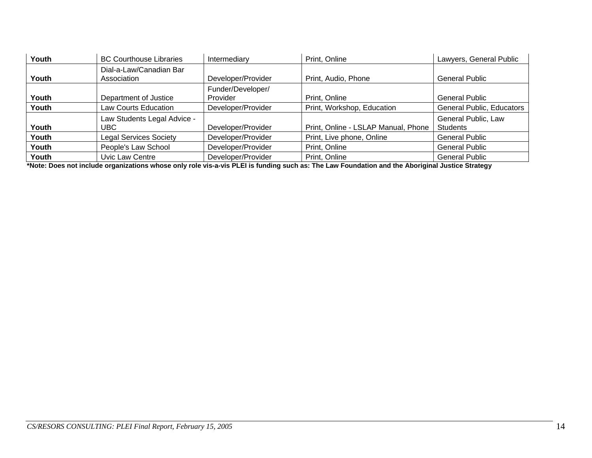| Youth | <b>BC Courthouse Libraries</b>         | Intermediary                  | Print, Online                       | Lawyers, General Public                |
|-------|----------------------------------------|-------------------------------|-------------------------------------|----------------------------------------|
| Youth | Dial-a-Law/Canadian Bar<br>Association | Developer/Provider            | Print, Audio, Phone                 | <b>General Public</b>                  |
| Youth | Department of Justice                  | Funder/Developer/<br>Provider | Print, Online                       | <b>General Public</b>                  |
| Youth | Law Courts Education                   | Developer/Provider            | Print, Workshop, Education          | <b>General Public, Educators</b>       |
| Youth | Law Students Legal Advice -<br>UBC.    | Developer/Provider            | Print, Online - LSLAP Manual, Phone | General Public, Law<br><b>Students</b> |
| Youth | <b>Legal Services Society</b>          | Developer/Provider            | Print, Live phone, Online           | <b>General Public</b>                  |
| Youth | People's Law School                    | Developer/Provider            | Print, Online                       | <b>General Public</b>                  |
| Youth | Uvic Law Centre                        | Developer/Provider            | Print, Online                       | <b>General Public</b>                  |

**\*Note: Does not include organizations whose only role vis-a-vis PLEI is funding such as: The Law Foundation and the Aboriginal Justice Strategy**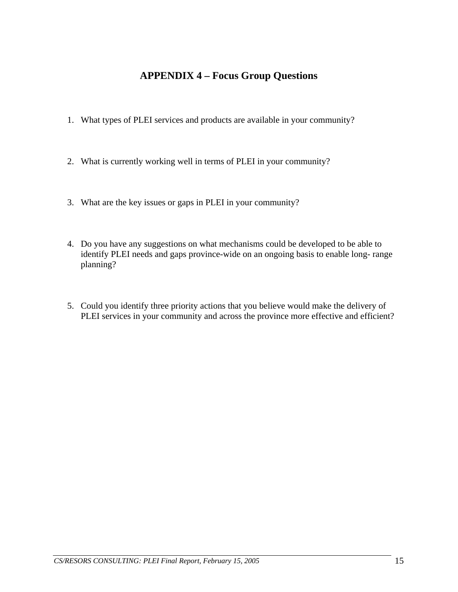## **APPENDIX 4 – Focus Group Questions**

- <span id="page-15-0"></span>1. What types of PLEI services and products are available in your community?
- 2. What is currently working well in terms of PLEI in your community?
- 3. What are the key issues or gaps in PLEI in your community?
- 4. Do you have any suggestions on what mechanisms could be developed to be able to identify PLEI needs and gaps province-wide on an ongoing basis to enable long- range planning?
- 5. Could you identify three priority actions that you believe would make the delivery of PLEI services in your community and across the province more effective and efficient?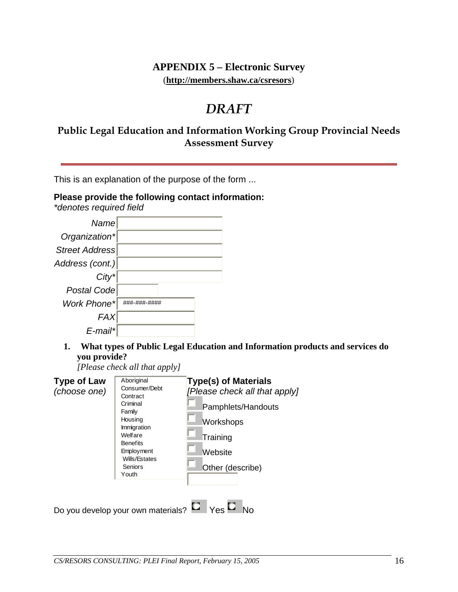## **APPENDIX 5 – Electronic Survey**  (**http://members.shaw.ca/csresors**)

# *DRAFT*

## <span id="page-16-0"></span>**Public Legal Education and Information Working Group Provincial Needs Assessment Survey**

This is an explanation of the purpose of the form ...

## **Please provide the following contact information:**

*\*denotes required field*

| Name            |              |  |
|-----------------|--------------|--|
| Organization*   |              |  |
| Street Address  |              |  |
| Address (cont.) |              |  |
| $City^*$        |              |  |
| Postal Code     |              |  |
| Work Phone*     | ###-###-#### |  |
| <b>FAX</b>      |              |  |
| E-mail*         |              |  |

**1. What types of Public Legal Education and Information products and services do you provide?** 

*[Please check all that apply]*

| <b>Type of Law</b><br>(choose one) | Aboriginal<br>Consumer/Debt<br>Contract<br>Criminal<br>Family<br>Housing<br>Immigration<br>Welfare<br><b>Benefits</b><br><b>Employment</b><br>Wills/Estates<br>Seniors<br>Youth | <b>Type(s) of Materials</b><br>[Please check all that apply]<br>Pamphlets/Handouts<br>Workshops<br>Training<br>Website<br>Other (describe) |
|------------------------------------|---------------------------------------------------------------------------------------------------------------------------------------------------------------------------------|--------------------------------------------------------------------------------------------------------------------------------------------|
|                                    | Do you develop your own materials?                                                                                                                                              | $\mathsf{Yes}$ L                                                                                                                           |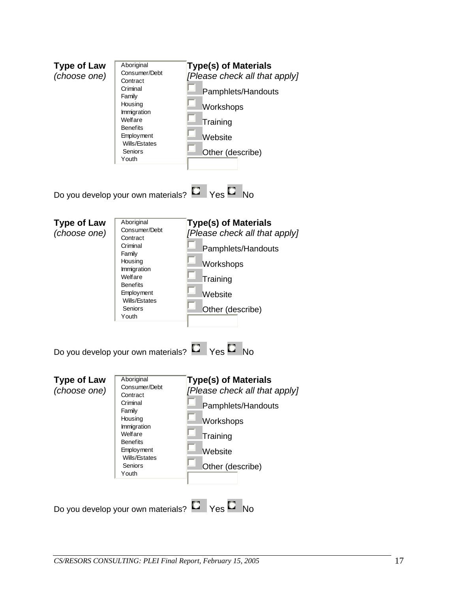| <b>Type of Law</b><br>(choose one) | Aboriginal<br>Consumer/Debt<br>Contract<br>Criminal<br>Family<br>Housing<br>Immigration<br>Welfare<br><b>Benefits</b><br>Employment<br>Wills/Estates<br>Seniors<br>Youth | <b>Type(s) of Materials</b><br>[Please check all that apply]<br>Pamphlets/Handouts<br>Workshops<br>Training<br>Website<br>Other (describe)                                                            |
|------------------------------------|--------------------------------------------------------------------------------------------------------------------------------------------------------------------------|-------------------------------------------------------------------------------------------------------------------------------------------------------------------------------------------------------|
|                                    |                                                                                                                                                                          | Do you develop your own materials? $\Box$ Yes $\Box$ No                                                                                                                                               |
| <b>Type of Law</b><br>(choose one) | Aboriginal<br>Consumer/Debt<br>Contract<br>Criminal<br>Family<br>Housing<br>Immigration<br>Welfare<br><b>Benefits</b><br>Employment<br>Wills/Estates<br>Seniors<br>Youth | <b>Type(s) of Materials</b><br>[Please check all that apply]<br>Pamphlets/Handouts<br>Workshops<br>Training<br>Website<br>Other (describe)<br>Do you develop your own materials? $\Box$ Yes $\Box$ No |
| <b>Type of Law</b><br>(choose one) | Aboriginal<br>Consumer/Debt<br>Contract<br>Criminal<br>Family<br>Housing<br>Immigration<br>Welfare<br><b>Benefits</b><br>Employment<br>Wills/Estates<br>Seniors<br>Youth | <b>Type(s) of Materials</b><br>[Please check all that apply]<br>Pamphlets/Handouts<br>Workshops<br>Training<br>Website<br>Other (describe)<br>Do you develop your own materials? $\Box$ Yes $\Box$ No |
|                                    |                                                                                                                                                                          |                                                                                                                                                                                                       |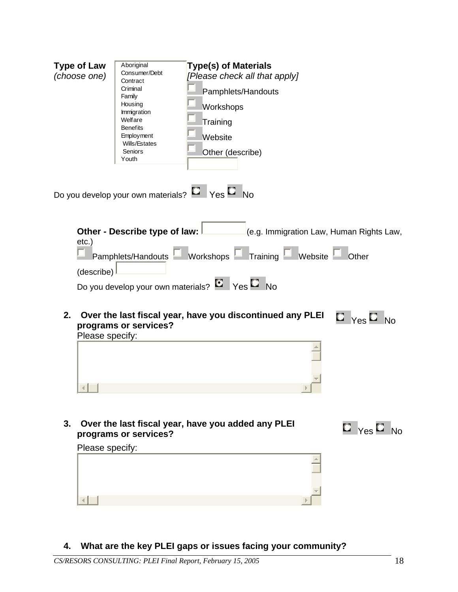| <b>Type of Law</b><br>(choose one)              | Aboriginal<br>Consumer/Debt<br>Contract<br>Criminal<br>Family<br>Housing<br>Immigration<br>Welfare<br><b>Benefits</b><br>Employment<br>Wills/Estates<br>Seniors<br>Youth | <b>Type(s) of Materials</b><br>[Please check all that apply]<br>Pamphlets/Handouts<br>Workshops<br>Training<br>Website<br>Other (describe)                                                                                    |                                                                           |
|-------------------------------------------------|--------------------------------------------------------------------------------------------------------------------------------------------------------------------------|-------------------------------------------------------------------------------------------------------------------------------------------------------------------------------------------------------------------------------|---------------------------------------------------------------------------|
|                                                 |                                                                                                                                                                          | Do you develop your own materials? Law Yes Lawlo                                                                                                                                                                              |                                                                           |
| $etc.$ )<br>(describe)<br>2.<br>Please specify: | Other - Describe type of law:<br>programs or services?                                                                                                                   | (e.g. Immigration Law, Human Rights Law,<br>Pamphlets/Handouts Workshops Faining Website<br>Do you develop your own materials? $E_{\text{P}}$ Yes $E_{\text{N}}$<br>Over the last fiscal year, have you discontinued any PLEI | Other<br>$\blacksquare$ $_{\mathsf{Yes}}$ $\blacksquare$ $_{\mathsf{No}}$ |
| 3.<br>Please specify:                           | programs or services?                                                                                                                                                    | Over the last fiscal year, have you added any PLEI                                                                                                                                                                            | $\Box$ Yes $\Box$ No                                                      |

## **4. What are the key PLEI gaps or issues facing your community?**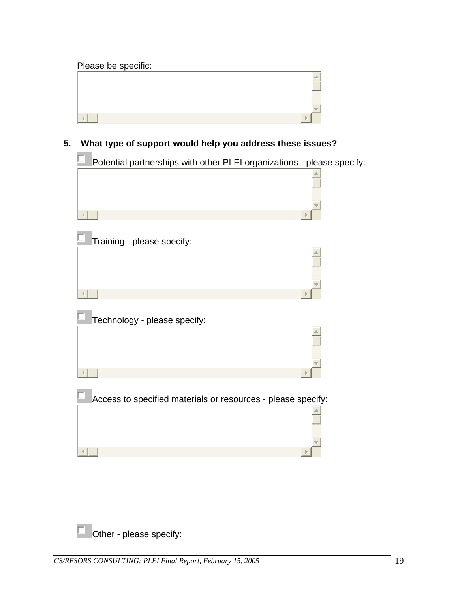## Please be specific:



**5. What type of support would help you address these issues?** 

| Potential partnerships with other PLEI organizations - please specify: |
|------------------------------------------------------------------------|
|                                                                        |
|                                                                        |
| Training - please specify:                                             |
|                                                                        |
|                                                                        |
| Technology - please specify:                                           |
|                                                                        |
|                                                                        |
| Access to specified materials or resources - please specify:           |
|                                                                        |
|                                                                        |
|                                                                        |

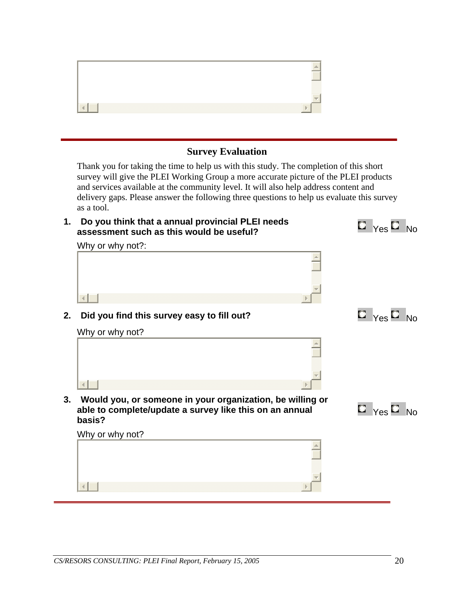## **Survey Evaluation**

Thank you for taking the time to help us with this study. The completion of this short survey will give the PLEI Working Group a more accurate picture of the PLEI products and services available at the community level. It will also help address content and delivery gaps. Please answer the following three questions to help us evaluate this survey as a tool.

**1. Do you think that a annual provincial PLEI needs Do you think that a annual provincial PLEI needs**  $\qquad \qquad \blacksquare \qquad \qquad \blacksquare \qquad \qquad \blacksquare \qquad \qquad \blacksquare$ 

Why or why not?:

 $\overline{4}$ 

# $\left| \cdot \right|$

**2.** Did you find this survey easy to fill out?  $\Box$   $\Box$   $\Box$   $\Box$   $\Box$  No

Why or why not?









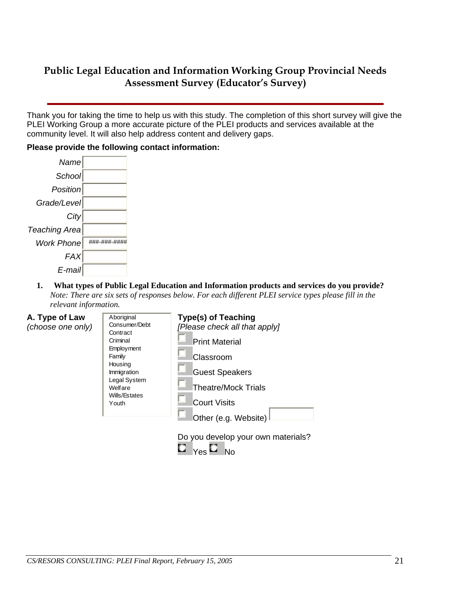## **Public Legal Education and Information Working Group Provincial Needs Assessment Survey (Educator's Survey)**

Thank you for taking the time to help us with this study. The completion of this short survey will give the PLEI Working Group a more accurate picture of the PLEI products and services available at the community level. It will also help address content and delivery gaps.

#### **Please provide the following contact information:**

| Name                 |              |  |
|----------------------|--------------|--|
| School               |              |  |
| Position             |              |  |
| Grade/Level          |              |  |
| City                 |              |  |
| <b>Teaching Area</b> |              |  |
| <b>Work Phone</b>    | ###-###-#### |  |
| <b>FAX</b>           |              |  |
| E-mail               |              |  |

**1. What types of Public Legal Education and Information products and services do you provide?**  *Note: There are six sets of responses below. For each different PLEI service types please fill in the relevant information.*

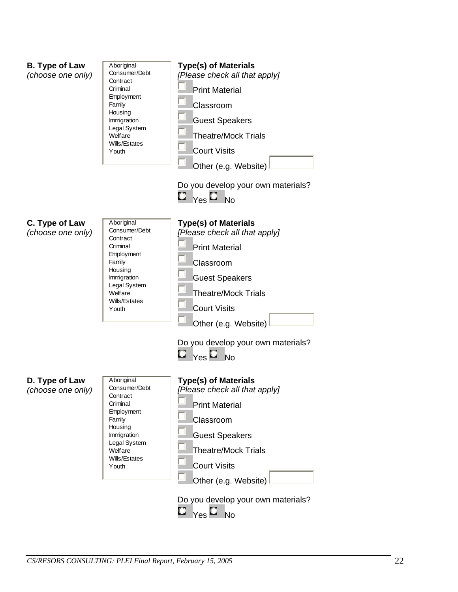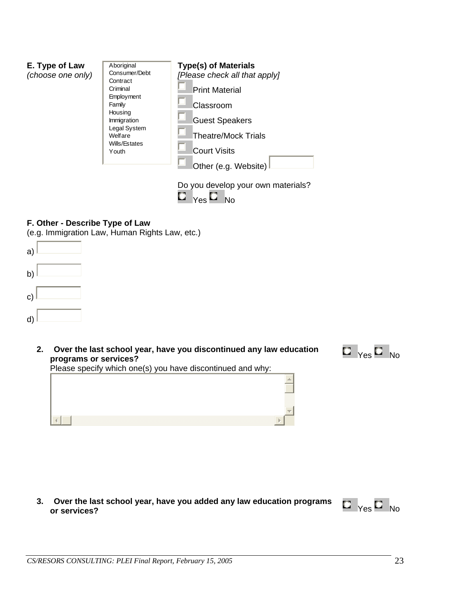| E. Type of Law<br>(choose one only) | Aboriginal<br>Consumer/Debt<br>Contract<br>Criminal<br>Employment<br>Family<br>Housing<br>Immigration<br>Legal System<br>Welfare<br>Wills/Estates<br>Youth | <b>Type(s) of Materials</b><br>[Please check all that apply]<br><b>Print Material</b><br>Classroom<br><b>Guest Speakers</b><br><b>Theatre/Mock Trials</b><br><b>Court Visits</b><br>Other (e.g. Website) |
|-------------------------------------|------------------------------------------------------------------------------------------------------------------------------------------------------------|----------------------------------------------------------------------------------------------------------------------------------------------------------------------------------------------------------|
|                                     |                                                                                                                                                            | Do you develop your own materials?<br>N٥                                                                                                                                                                 |

## **F. Other - Describe Type of Law**

(e.g. Immigration Law, Human Rights Law, etc.)



**2. Over the last school year, have you discontinued any law education Over the last school year, have you discontinued any law education**<br> **programs or services?** No



Please specify which one(s) you have discontinued and why:



**3. Over the last school year, have you added any law education programs Over the last school year, have you added any law education programs**  $\Box$  Yes  $\Box$  No or services?

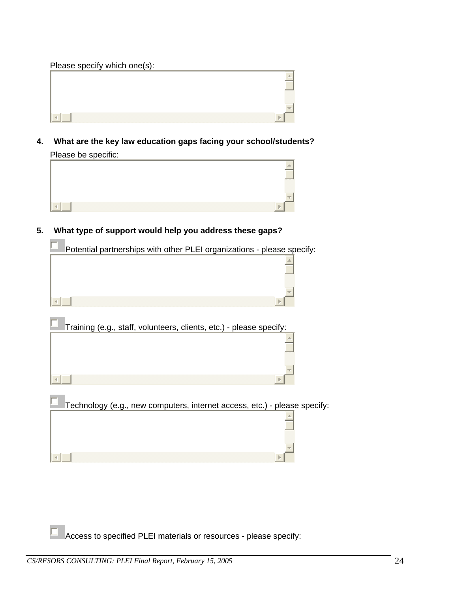| Please specify which one(s): |  |
|------------------------------|--|
|                              |  |
|                              |  |
|                              |  |
|                              |  |
|                              |  |

**4. What are the key law education gaps facing your school/students?**  Please be specific:



**5. What type of support would help you address these gaps?** 

**Contract** 

ŗ

Potential partnerships with other PLEI organizations - please specify:



| Training (e.g., staff, volunteers, clients, etc.) - please specify:       |  |
|---------------------------------------------------------------------------|--|
|                                                                           |  |
|                                                                           |  |
|                                                                           |  |
| Technology (e.g., new computers, internet access, etc.) - please specify: |  |
|                                                                           |  |
|                                                                           |  |
|                                                                           |  |

Access to specified PLEI materials or resources - please specify: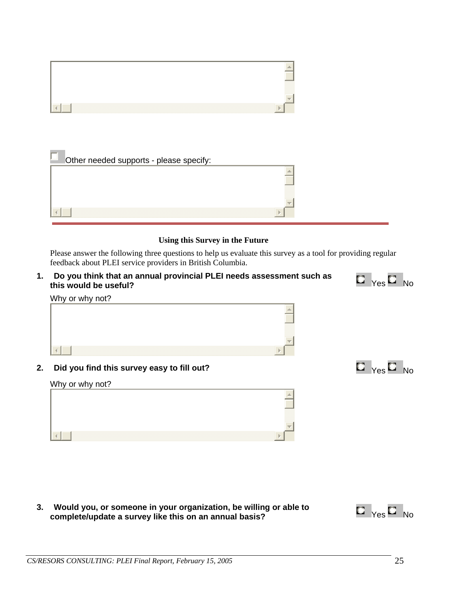

#### **Using this Survey in the Future**

Please answer the following three questions to help us evaluate this survey as a tool for providing regular feedback about PLEI service providers in British Columbia.

**1. Do you think that an annual provincial PLEI needs assessment such as Do you think that an annual provincial PLEI needs assessment such as**  $\blacksquare\spadesuit_{\mathsf{Yes}}\square\spadesuit_{\mathsf{No}}$ 



**2. Did you find this survey easy to fill out?** Yes No

Why or why not?

 $\left\| \cdot \right\|$ 





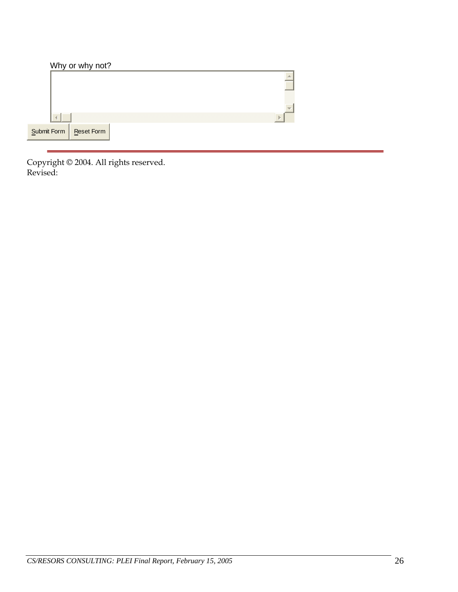|             | Why or why not?   |   |
|-------------|-------------------|---|
|             |                   |   |
|             |                   |   |
|             |                   |   |
|             |                   | ь |
| Submit Form | <b>Reset Form</b> |   |

Copyright © 2004. All rights reserved. Revised: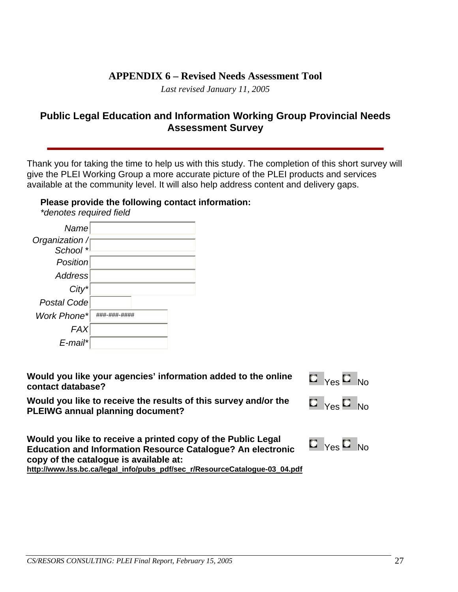## **APPENDIX 6 – Revised Needs Assessment Tool**

*Last revised January 11, 2005* 

## <span id="page-27-0"></span>**Public Legal Education and Information Working Group Provincial Needs Assessment Survey**

Thank you for taking the time to help us with this study. The completion of this short survey will give the PLEI Working Group a more accurate picture of the PLEI products and services available at the community level. It will also help address content and delivery gaps.

## **Please provide the following contact information:**

*\*denotes required field*

| Name            |              |  |
|-----------------|--------------|--|
|                 |              |  |
| Organization /  |              |  |
| School *        |              |  |
| <b>Position</b> |              |  |
| Address         |              |  |
| $City^*$        |              |  |
| Postal Code     |              |  |
| Work Phone*     | ###_###_#### |  |
| <b>FAX</b>      |              |  |
| E-mail*         |              |  |

**Would you like your agencies' information added to the online contact database?** 

|    | N٥ |
|----|----|
| Aς |    |

**Would you like to receive the results of this survey and/or the PLEIWG annual planning document?** 

| Yes |  | No |
|-----|--|----|
|-----|--|----|

**Would you like to receive a printed copy of the Public Legal Education and Information Resource Catalogue? An electronic copy of the catalogue is available at:** 

**http://www.lss.bc.ca/legal\_info/pubs\_pdf/sec\_r/ResourceCatalogue-03\_04.pdf**

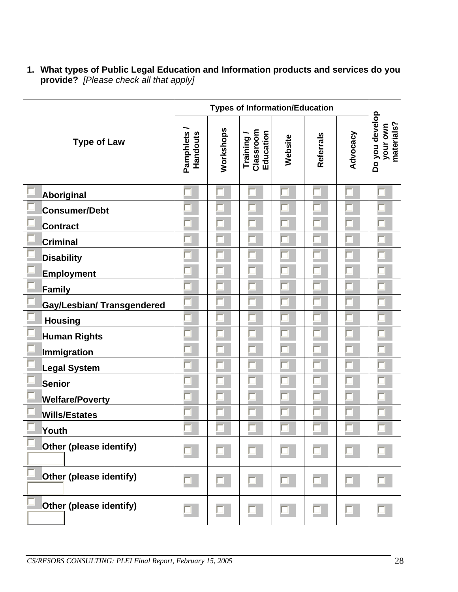**1. What types of Public Legal Education and Information products and services do you provide?** *[Please check all that apply]*

|                                   | <b>Types of Information/Education</b> |           |                                     |         |           |          |                                          |
|-----------------------------------|---------------------------------------|-----------|-------------------------------------|---------|-----------|----------|------------------------------------------|
| <b>Type of Law</b>                | Pamphlets<br>Handouts                 | Workshops | Classroom<br>Education<br>Training/ | Website | Referrals | Advocacy | Do you develop<br>your own<br>materials? |
| Aboriginal                        |                                       |           |                                     |         |           |          |                                          |
| Consumer/Debt                     |                                       |           |                                     |         |           |          |                                          |
| <b>Contract</b>                   |                                       |           |                                     |         |           |          |                                          |
| <b>Criminal</b>                   |                                       |           |                                     |         |           |          |                                          |
| <b>Disability</b>                 |                                       |           |                                     |         |           |          |                                          |
| <b>Employment</b>                 |                                       |           |                                     |         |           |          |                                          |
| Family                            |                                       |           |                                     |         |           |          |                                          |
| <b>Gay/Lesbian/ Transgendered</b> |                                       |           |                                     |         |           |          |                                          |
| <b>Housing</b>                    |                                       |           |                                     |         |           |          |                                          |
| <b>Human Rights</b>               |                                       |           |                                     |         |           |          |                                          |
| <b>Immigration</b>                |                                       |           |                                     |         |           |          |                                          |
| <b>Legal System</b>               |                                       |           |                                     |         |           |          |                                          |
| <b>Senior</b>                     |                                       |           |                                     |         |           |          |                                          |
| <b>Welfare/Poverty</b>            |                                       |           |                                     |         |           |          |                                          |
| <b>Wills/Estates</b>              |                                       |           |                                     |         |           |          |                                          |
| Youth                             |                                       |           |                                     |         |           |          |                                          |
| Other (please identify)           |                                       |           |                                     |         |           |          |                                          |
| Other (please identify)           |                                       |           |                                     |         |           |          |                                          |
| Other (please identify)           |                                       |           |                                     |         |           |          |                                          |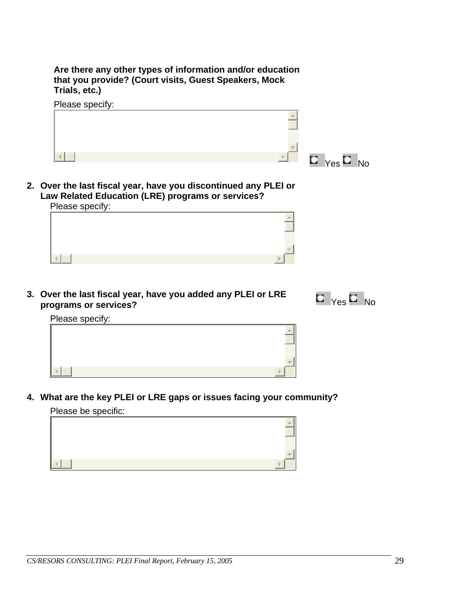**Are there any other types of information and/or education that you provide? (Court visits, Guest Speakers, Mock Trials, etc.)** 



**2. Over the last fiscal year, have you discontinued any PLEI or Law Related Education (LRE) programs or services?**  Please specify:

| r i <del>c</del> as <del>c</del> speciiy. |  |
|-------------------------------------------|--|
|                                           |  |
|                                           |  |
|                                           |  |
|                                           |  |
|                                           |  |

**3. Over the last fiscal year, have you added any PLEI or LRE**  Over the last fiscal year, have you added any PLEI or LRE **The Manuscript of Star** No<br>programs or services?



Please specify:



**4. What are the key PLEI or LRE gaps or issues facing your community?** 

Please be specific:

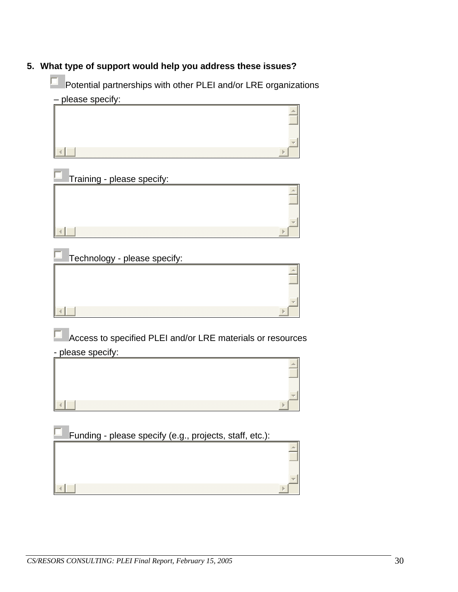## **5. What type of support would help you address these issues?**

Potential partnerships with other PLEI and/or LRE organizations – please specify:





| Technology - please specify: |  |
|------------------------------|--|
|                              |  |
|                              |  |
|                              |  |
|                              |  |
|                              |  |

Access to specified PLEI and/or LRE materials or resources - please specify:



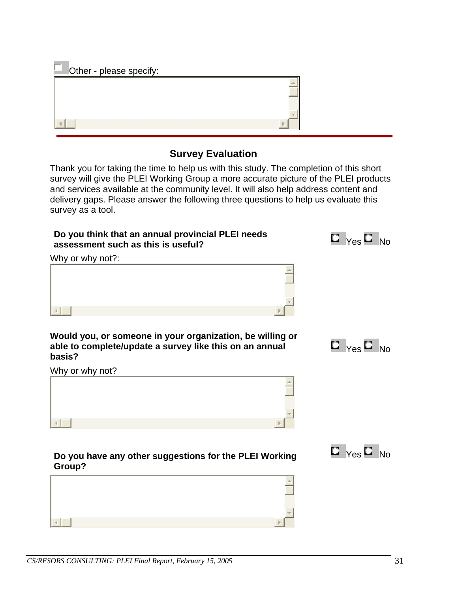Other - please specify:

## **Survey Evaluation**

Thank you for taking the time to help us with this study. The completion of this short survey will give the PLEI Working Group a more accurate picture of the PLEI products and services available at the community level. It will also help address content and delivery gaps. Please answer the following three questions to help us evaluate this survey as a tool.

| Do you think that an annual provincial PLEI needs<br>assessment such as this is useful?                                        | $\blacksquare$ $_{\mathsf{Yes}}$ $\blacksquare$ $_{\mathsf{No}}$ |
|--------------------------------------------------------------------------------------------------------------------------------|------------------------------------------------------------------|
| Why or why not?:                                                                                                               |                                                                  |
|                                                                                                                                |                                                                  |
|                                                                                                                                |                                                                  |
|                                                                                                                                |                                                                  |
| Would you, or someone in your organization, be willing or<br>able to complete/update a survey like this on an annual<br>basis? | $\Box$ Yes $\Box$ No                                             |
| Why or why not?                                                                                                                |                                                                  |
|                                                                                                                                |                                                                  |
|                                                                                                                                |                                                                  |
|                                                                                                                                |                                                                  |

### **Do you have any other suggestions for the PLEI Working Group?**



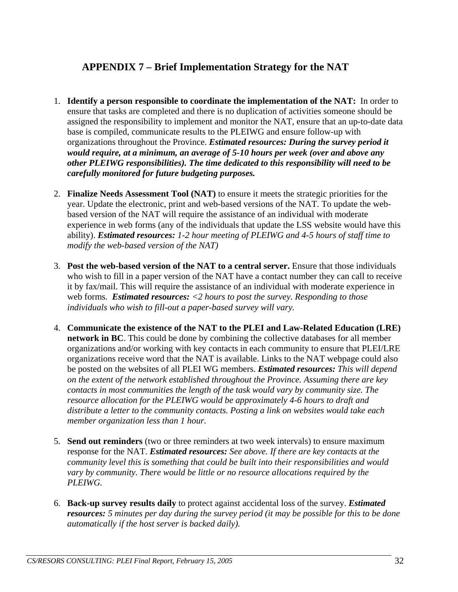## <span id="page-32-0"></span>**APPENDIX 7 – Brief Implementation Strategy for the NAT**

- 1. **Identify a person responsible to coordinate the implementation of the NAT:** In order to ensure that tasks are completed and there is no duplication of activities someone should be assigned the responsibility to implement and monitor the NAT, ensure that an up-to-date data base is compiled, communicate results to the PLEIWG and ensure follow-up with organizations throughout the Province. *Estimated resources: During the survey period it would require, at a minimum, an average of 5-10 hours per week (over and above any other PLEIWG responsibilities). The time dedicated to this responsibility will need to be carefully monitored for future budgeting purposes.*
- 2. **Finalize Needs Assessment Tool (NAT)** to ensure it meets the strategic priorities for the year. Update the electronic, print and web-based versions of the NAT. To update the webbased version of the NAT will require the assistance of an individual with moderate experience in web forms (any of the individuals that update the LSS website would have this ability). *Estimated resources: 1-2 hour meeting of PLEIWG and 4-5 hours of staff time to modify the web-based version of the NAT)*
- 3. **Post the web-based version of the NAT to a central server.** Ensure that those individuals who wish to fill in a paper version of the NAT have a contact number they can call to receive it by fax/mail. This will require the assistance of an individual with moderate experience in web forms. *Estimated resources: <2 hours to post the survey. Responding to those individuals who wish to fill-out a paper-based survey will vary.*
- 4. **Communicate the existence of the NAT to the PLEI and Law-Related Education (LRE) network in BC**. This could be done by combining the collective databases for all member organizations and/or working with key contacts in each community to ensure that PLEI/LRE organizations receive word that the NAT is available. Links to the NAT webpage could also be posted on the websites of all PLEI WG members. *Estimated resources: This will depend on the extent of the network established throughout the Province. Assuming there are key contacts in most communities the length of the task would vary by community size. The resource allocation for the PLEIWG would be approximately 4-6 hours to draft and distribute a letter to the community contacts. Posting a link on websites would take each member organization less than 1 hour.*
- 5. **Send out reminders** (two or three reminders at two week intervals) to ensure maximum response for the NAT. *Estimated resources: See above. If there are key contacts at the community level this is something that could be built into their responsibilities and would vary by community. There would be little or no resource allocations required by the PLEIWG.*
- 6. **Back-up survey results daily** to protect against accidental loss of the survey. *Estimated resources: 5 minutes per day during the survey period (it may be possible for this to be done automatically if the host server is backed daily).*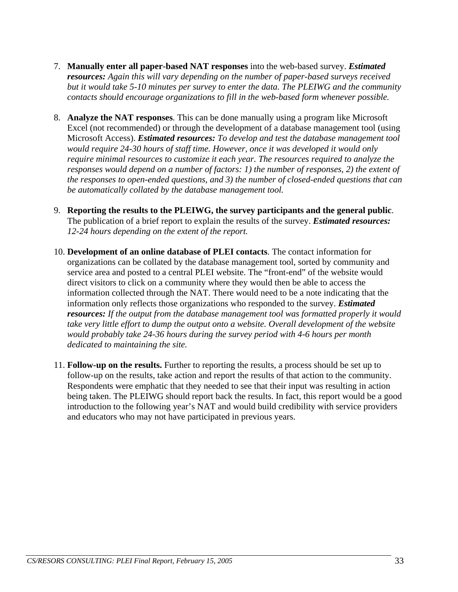- 7. **Manually enter all paper-based NAT responses** into the web-based survey. *Estimated resources: Again this will vary depending on the number of paper-based surveys received but it would take 5-10 minutes per survey to enter the data. The PLEIWG and the community contacts should encourage organizations to fill in the web-based form whenever possible.*
- 8. **Analyze the NAT responses**. This can be done manually using a program like Microsoft Excel (not recommended) or through the development of a database management tool (using Microsoft Access). *Estimated resources: To develop and test the database management tool would require 24-30 hours of staff time. However, once it was developed it would only require minimal resources to customize it each year. The resources required to analyze the responses would depend on a number of factors: 1) the number of responses, 2) the extent of the responses to open-ended questions, and 3) the number of closed-ended questions that can be automatically collated by the database management tool.*
- 9. **Reporting the results to the PLEIWG, the survey participants and the general public**. The publication of a brief report to explain the results of the survey. *Estimated resources: 12-24 hours depending on the extent of the report.*
- 10. **Development of an online database of PLEI contacts**. The contact information for organizations can be collated by the database management tool, sorted by community and service area and posted to a central PLEI website. The "front-end" of the website would direct visitors to click on a community where they would then be able to access the information collected through the NAT. There would need to be a note indicating that the information only reflects those organizations who responded to the survey. *Estimated resources: If the output from the database management tool was formatted properly it would take very little effort to dump the output onto a website. Overall development of the website would probably take 24-36 hours during the survey period with 4-6 hours per month dedicated to maintaining the site.*
- 11. **Follow-up on the results.** Further to reporting the results, a process should be set up to follow-up on the results, take action and report the results of that action to the community. Respondents were emphatic that they needed to see that their input was resulting in action being taken. The PLEIWG should report back the results. In fact, this report would be a good introduction to the following year's NAT and would build credibility with service providers and educators who may not have participated in previous years.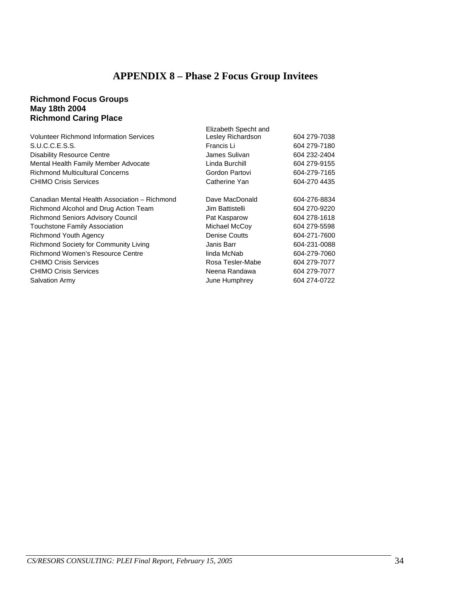# **APPENDIX 8 – Phase 2 Focus Group Invitees**

#### <span id="page-34-0"></span>**Richmond Focus Groups May 18th 2004 Richmond Caring Place**

|                                                | Elizabeth Specht and |              |
|------------------------------------------------|----------------------|--------------|
| <b>Volunteer Richmond Information Services</b> | Lesley Richardson    | 604 279-7038 |
| S.U.C.C.E.S.S.                                 | Francis Li           | 604 279-7180 |
| <b>Disability Resource Centre</b>              | James Sulivan        | 604 232-2404 |
| Mental Health Family Member Advocate           | Linda Burchill       | 604 279-9155 |
| <b>Richmond Multicultural Concerns</b>         | Gordon Partovi       | 604-279-7165 |
| <b>CHIMO Crisis Services</b>                   | Catherine Yan        | 604-270 4435 |
|                                                |                      |              |
| Canadian Mental Health Association - Richmond  | Dave MacDonald       | 604-276-8834 |
| Richmond Alcohol and Drug Action Team          | Jim Battistelli      | 604 270-9220 |
| <b>Richmond Seniors Advisory Council</b>       | Pat Kasparow         | 604 278-1618 |
| <b>Touchstone Family Association</b>           | Michael McCoy        | 604 279-5598 |
| Richmond Youth Agency                          | <b>Denise Coutts</b> | 604-271-7600 |
| Richmond Society for Community Living          | Janis Barr           | 604-231-0088 |
| Richmond Women's Resource Centre               | linda McNab          | 604-279-7060 |
| <b>CHIMO Crisis Services</b>                   | Rosa Tesler-Mabe     | 604 279-7077 |
| <b>CHIMO Crisis Services</b>                   | Neena Randawa        | 604 279-7077 |
| <b>Salvation Army</b>                          | June Humphrey        | 604 274-0722 |
|                                                |                      |              |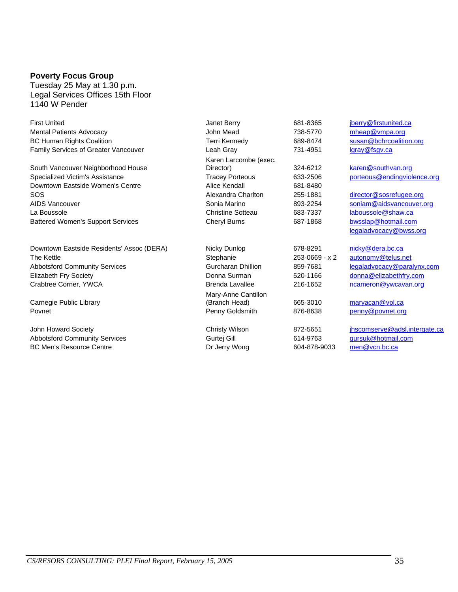#### **Poverty Focus Group**

Tuesday 25 May at 1.30 p.m. Legal Services Offices 15th Floor 1140 W Pender

| <b>First United</b>                       | Janet Berry              | 681-8365       | jberry@firstunited.ca         |
|-------------------------------------------|--------------------------|----------------|-------------------------------|
| <b>Mental Patients Advocacy</b>           | John Mead                | 738-5770       | mheap@vmpa.org                |
| <b>BC Human Rights Coalition</b>          | Terri Kennedy            | 689-8474       | susan@bchrcoalition.org       |
| Family Services of Greater Vancouver      | Leah Gray                | 731-4951       | lgray@fsgv.ca                 |
|                                           | Karen Larcombe (exec.    |                |                               |
| South Vancouver Neighborhood House        | Director)                | 324-6212       | karen@southvan.org            |
| Specialized Victim's Assistance           | <b>Tracey Porteous</b>   | 633-2506       | porteous@endingviolence.org   |
| Downtown Eastside Women's Centre          | Alice Kendall            | 681-8480       |                               |
| SOS                                       | Alexandra Charlton       | 255-1881       | director@sosrefugee.org       |
| AIDS Vancouver                            | Sonia Marino             | 893-2254       | soniam@aidsvancouver.org      |
| La Boussole                               | <b>Christine Sotteau</b> | 683-7337       | laboussole@shaw.ca            |
| <b>Battered Women's Support Services</b>  | Cheryl Burns             | 687-1868       | bwsslap@hotmail.com           |
|                                           |                          |                | legaladvocacy@bwss.org        |
| Downtown Eastside Residents' Assoc (DERA) | Nicky Dunlop             | 678-8291       | nicky@dera.bc.ca              |
| The Kettle                                | Stephanie                | 253-0669 - x 2 | autonomy@telus.net            |
| <b>Abbotsford Community Services</b>      | Gurcharan Dhillion       | 859-7681       | legaladvocacy@paralynx.com    |
| <b>Elizabeth Fry Society</b>              | Donna Surman             | 520-1166       | donna@elizabethfry.com        |
| Crabtree Corner, YWCA                     | <b>Brenda Lavallee</b>   | 216-1652       | ncameron@ywcavan.org          |
|                                           | Mary-Anne Cantillon      |                |                               |
| Carnegie Public Library                   | (Branch Head)            | 665-3010       | maryacan@vpl.ca               |
| Povnet                                    | Penny Goldsmith          | 876-8638       | penny@povnet.org              |
| John Howard Society                       | <b>Christy Wilson</b>    | 872-5651       | jhscomserve@adsl.intergate.ca |
| <b>Abbotsford Community Services</b>      | Gurtej Gill              | 614-9763       | gursuk@hotmail.com            |
| <b>BC Men's Resource Centre</b>           | Dr Jerry Wong            | 604-878-9033   | men@vcn.bc.ca                 |
|                                           |                          |                |                               |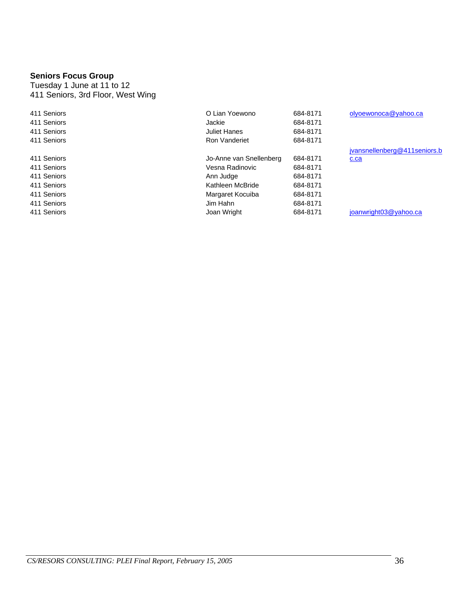#### **Seniors Focus Group**

Tuesday 1 June at 11 to 12 411 Seniors, 3rd Floor, West Wing

| 411 Seniors | O Lian Yoewono          | 684-8171 | olyoewonoca@yahoo.ca         |
|-------------|-------------------------|----------|------------------------------|
| 411 Seniors | Jackie                  | 684-8171 |                              |
| 411 Seniors | Juliet Hanes            | 684-8171 |                              |
| 411 Seniors | Ron Vanderiet           | 684-8171 |                              |
|             |                         |          | jvansnellenberg@411seniors.b |
| 411 Seniors | Jo-Anne van Snellenberg | 684-8171 | c.ca                         |
| 411 Seniors | Vesna Radinovic         | 684-8171 |                              |
| 411 Seniors | Ann Judge               | 684-8171 |                              |
| 411 Seniors | Kathleen McBride        | 684-8171 |                              |
| 411 Seniors | Margaret Kocuiba        | 684-8171 |                              |
| 411 Seniors | Jim Hahn                | 684-8171 |                              |
| 411 Seniors | Joan Wright             | 684-8171 | joanwright03@yahoo.ca        |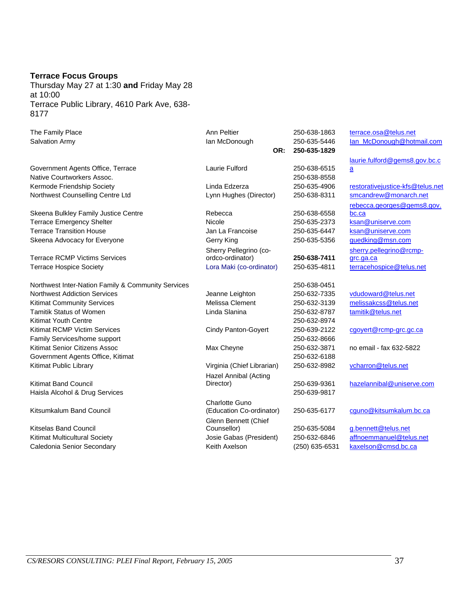#### **Terrace Focus Groups**

Thursday May 27 at 1:30 **and** Friday May 28 at 10:00 Terrace Public Library, 4610 Park Ave, 638- 8177

| The Family Place                                   | Ann Peltier                | 250-638-1863   | terrace.osa@telus.net             |
|----------------------------------------------------|----------------------------|----------------|-----------------------------------|
| Salvation Army                                     | lan McDonough              | 250-635-5446   | lan_McDonough@hotmail.com         |
|                                                    | OR:                        | 250-635-1829   |                                   |
|                                                    |                            |                | laurie.fulford@gems8.gov.bc.c     |
| Government Agents Office, Terrace                  | Laurie Fulford             | 250-638-6515   | $\mathbf{a}$                      |
| Native Courtworkers Assoc.                         |                            | 250-638-8558   |                                   |
| Kermode Friendship Society                         | Linda Edzerza              | 250-635-4906   | restorative justice-kfs@telus.net |
| Northwest Counselling Centre Ltd                   | Lynn Hughes (Director)     | 250-638-8311   | smcandrew@monarch.net             |
|                                                    |                            |                | rebecca.georges@gems8.gov.        |
| Skeena Bulkley Family Justice Centre               | Rebecca                    | 250-638-6558   | bc.ca                             |
| <b>Terrace Emergency Shelter</b>                   | Nicole                     | 250-635-2373   | ksan@uniserve.com                 |
| <b>Terrace Transition House</b>                    | Jan La Francoise           | 250-635-6447   | ksan@uniserve.com                 |
| Skeena Advocacy for Everyone                       | Gerry King                 | 250-635-5356   | guedking@msn.com                  |
|                                                    | Sherry Pellegrino (co-     |                | sherry.pellegrino@rcmp-           |
| <b>Terrace RCMP Victims Services</b>               | ordco-ordinator)           | 250-638-7411   | grc.ga.ca                         |
| <b>Terrace Hospice Society</b>                     | Lora Maki (co-ordinator)   | 250-635-4811   | terracehospice@telus.net          |
| Northwest Inter-Nation Family & Community Services |                            | 250-638-0451   |                                   |
| <b>Northwest Addiction Services</b>                | Jeanne Leighton            | 250-632-7335   | vdudoward@telus.net               |
| <b>Kitimat Community Services</b>                  | Melissa Clement            | 250-632-3139   | melissakcss@telus.net             |
| <b>Tamitik Status of Women</b>                     | Linda Slanina              | 250-632-8787   | tamitik@telus.net                 |
| <b>Kitimat Youth Centre</b>                        |                            | 250-632-8974   |                                   |
| Kitimat RCMP Victim Services                       | <b>Cindy Panton-Goyert</b> | 250-639-2122   | cgoyert@rcmp-grc.gc.ca            |
| Family Services/home support                       |                            | 250-632-8666   |                                   |
| Kitimat Senior Citizens Assoc                      | Max Cheyne                 | 250-632-3871   | no email - fax 632-5822           |
| Government Agents Office, Kitimat                  |                            | 250-632-6188   |                                   |
| Kitimat Public Library                             | Virginia (Chief Librarian) | 250-632-8982   | vcharron@telus.net                |
|                                                    | Hazel Annibal (Acting      |                |                                   |
| <b>Kitimat Band Council</b>                        | Director)                  | 250-639-9361   | hazelannibal@uniserve.com         |
| Haisla Alcohol & Drug Services                     |                            | 250-639-9817   |                                   |
|                                                    | Charlotte Guno             |                |                                   |
| Kitsumkalum Band Council                           | (Education Co-ordinator)   | 250-635-6177   | cguno@kitsumkalum.bc.ca           |
|                                                    | Glenn Bennett (Chief       |                |                                   |
| Kitselas Band Council                              | Counsellor)                | 250-635-5084   | g.bennett@telus.net               |
| Kitimat Multicultural Society                      | Josie Gabas (President)    | 250-632-6846   | affnoemmanuel@telus.net           |
| Caledonia Senior Secondary                         | Keith Axelson              | (250) 635-6531 | kaxelson@cmsd.bc.ca               |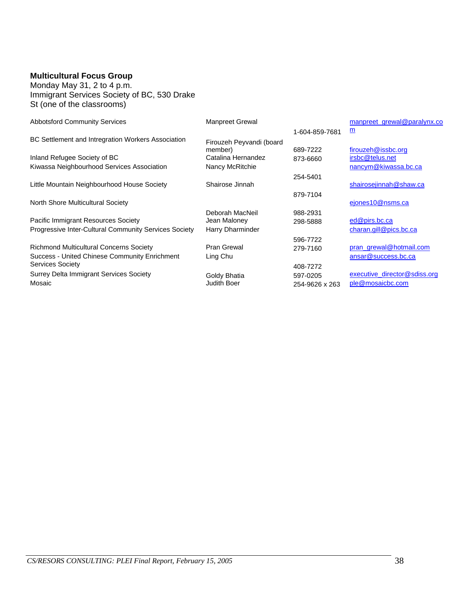## **Multicultural Focus Group**

Monday May 31, 2 to 4 p.m. Immigrant Services Society of BC, 530 Drake St (one of the classrooms)

| <b>Abbotsford Community Services</b>                  | <b>Manpreet Grewal</b>   |                | manpreet grewal@paralynx.co  |
|-------------------------------------------------------|--------------------------|----------------|------------------------------|
|                                                       |                          | 1-604-859-7681 | <u>m</u>                     |
| BC Settlement and Intregration Workers Association    | Firouzeh Peyvandi (board |                |                              |
|                                                       | member)                  | 689-7222       | firouzeh@issbc.org           |
| Inland Refugee Society of BC                          | Catalina Hernandez       | 873-6660       | irsbc@telus.net              |
| Kiwassa Neighbourhood Services Association            | Nancy McRitchie          |                | nancym@kiwassa.bc.ca         |
|                                                       |                          | 254-5401       |                              |
| Little Mountain Neighbourhood House Society           | Shairose Jinnah          |                | shairosejinnah@shaw.ca       |
|                                                       |                          | 879-7104       |                              |
| North Shore Multicultural Society                     |                          |                | ejones10@nsms.ca             |
|                                                       | Deborah MacNeil          | 988-2931       |                              |
| Pacific Immigrant Resources Society                   | Jean Maloney             | 298-5888       | ed@pirs.bc.ca                |
| Progressive Inter-Cultural Community Services Society | Harry Dharminder         |                | charan.gill@pics.bc.ca       |
|                                                       |                          | 596-7722       |                              |
| <b>Richmond Multicultural Concerns Society</b>        | Pran Grewal              | 279-7160       | pran grewal@hotmail.com      |
| Success - United Chinese Community Enrichment         | Ling Chu                 |                | ansar@success.bc.ca          |
| <b>Services Society</b>                               |                          | 408-7272       |                              |
| <b>Surrey Delta Immigrant Services Society</b>        | Goldy Bhatia             | 597-0205       | executive director@sdiss.org |
| Mosaic                                                | Judith Boer              | 254-9626 x 263 | ple@mosaicbc.com             |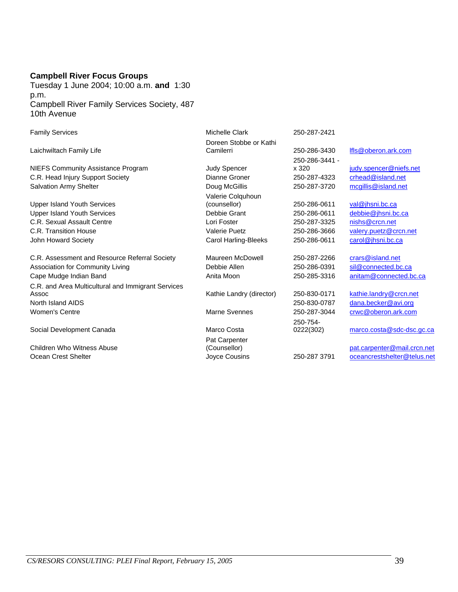#### **Campbell River Focus Groups**

Tuesday 1 June 2004; 10:00 a.m. **and** 1:30 p.m. Campbell River Family Services Society, 487 10th Avenue

| <b>Family Services</b>                             | <b>Michelle Clark</b>    | 250-287-2421   |                             |
|----------------------------------------------------|--------------------------|----------------|-----------------------------|
|                                                    | Doreen Stobbe or Kathi   |                |                             |
| Laichwiltach Family Life                           | Camilerri                | 250-286-3430   | Ifls@oberon.ark.com         |
|                                                    |                          | 250-286-3441 - |                             |
| <b>NIEFS Community Assistance Program</b>          | Judy Spencer             | x 320          | judy.spencer@niefs.net      |
| C.R. Head Injury Support Society                   | Dianne Groner            | 250-287-4323   | crhead@island.net           |
| <b>Salvation Army Shelter</b>                      | Doug McGillis            | 250-287-3720   | mcgillis@island.net         |
|                                                    | Valerie Colquhoun        |                |                             |
| <b>Upper Island Youth Services</b>                 | (counsellor)             | 250-286-0611   | val@jhsni.bc.ca             |
| <b>Upper Island Youth Services</b>                 | Debbie Grant             | 250-286-0611   | debbie@jhsni.bc.ca          |
| C.R. Sexual Assault Centre                         | Lori Foster              | 250-287-3325   | nishs@crcn.net              |
| C.R. Transition House                              | <b>Valerie Puetz</b>     | 250-286-3666   | valery.puetz@crcn.net       |
| John Howard Society                                | Carol Harling-Bleeks     | 250-286-0611   | carol@jhsni.bc.ca           |
| C.R. Assessment and Resource Referral Society      | Maureen McDowell         | 250-287-2266   | crars@island.net            |
| Association for Community Living                   | Debbie Allen             | 250-286-0391   | sil@connected.bc.ca         |
| Cape Mudge Indian Band                             | Anita Moon               | 250-285-3316   | anitam@connected.bc.ca      |
| C.R. and Area Multicultural and Immigrant Services |                          |                |                             |
| Assoc                                              | Kathie Landry (director) | 250-830-0171   | kathie.landry@crcn.net      |
| North Island AIDS                                  |                          | 250-830-0787   | dana.becker@avi.org         |
| <b>Women's Centre</b>                              | Marne Svennes            | 250-287-3044   | crwc@oberon.ark.com         |
|                                                    |                          | 250-754-       |                             |
| Social Development Canada                          | Marco Costa              | 0222(302)      | marco.costa@sdc-dsc.gc.ca   |
|                                                    | Pat Carpenter            |                |                             |
| Children Who Witness Abuse                         | (Counsellor)             |                | pat.carpenter@mail.crcn.net |
| Ocean Crest Shelter                                | Joyce Cousins            | 250-287 3791   | oceancrestshelter@telus.net |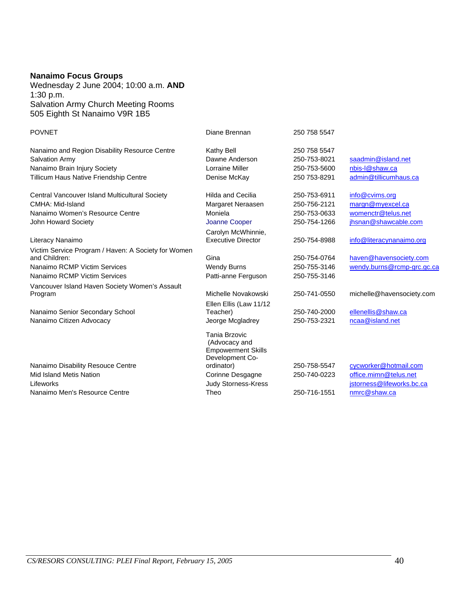### **Nanaimo Focus Groups**

Wednesday 2 June 2004; 10:00 a.m. **AND** 1:30 p.m. Salvation Army Church Meeting Rooms 505 Eighth St Nanaimo V9R 1B5

| <b>POVNET</b>                                                        | Diane Brennan                                                                  | 250 758 5547 |                            |
|----------------------------------------------------------------------|--------------------------------------------------------------------------------|--------------|----------------------------|
| Nanaimo and Region Disability Resource Centre                        | Kathy Bell                                                                     | 250 758 5547 |                            |
| Salvation Army                                                       | Dawne Anderson                                                                 | 250-753-8021 | saadmin@island.net         |
| Nanaimo Brain Injury Society                                         | Lorraine Miller                                                                | 250-753-5600 | nbis-I@shaw.ca             |
| Tillicum Haus Native Friendship Centre                               | Denise McKay                                                                   | 250 753-8291 | admin@tillicumhaus.ca      |
| Central Vancouver Island Multicultural Society                       | <b>Hilda and Cecilia</b>                                                       | 250-753-6911 | info@cvims.org             |
| CMHA: Mid-Island                                                     | Margaret Neraasen                                                              | 250-756-2121 | margn@myexcel.ca           |
| Nanaimo Women's Resource Centre                                      | Moniela                                                                        | 250-753-0633 | womenctr@telus.net         |
| John Howard Society                                                  | Joanne Cooper                                                                  | 250-754-1266 | jhsnan@shawcable.com       |
|                                                                      | Carolyn McWhinnie,                                                             |              |                            |
| Literacy Nanaimo                                                     | <b>Executive Director</b>                                                      | 250-754-8988 | info@literacynanaimo.org   |
| Victim Service Program / Haven: A Society for Women<br>and Children: | Gina                                                                           | 250-754-0764 | haven@havensociety.com     |
| Nanaimo RCMP Victim Services                                         | <b>Wendy Burns</b>                                                             | 250-755-3146 | wendy.burns@rcmp-grc.gc.ca |
| Nanaimo RCMP Victim Services                                         | Patti-anne Ferguson                                                            | 250-755-3146 |                            |
| Vancouver Island Haven Society Women's Assault                       |                                                                                |              |                            |
| Program                                                              | Michelle Novakowski                                                            | 250-741-0550 | michelle@havensociety.com  |
|                                                                      | Ellen Ellis (Law 11/12                                                         |              |                            |
| Nanaimo Senior Secondary School                                      | Teacher)                                                                       | 250-740-2000 | ellenellis@shaw.ca         |
| Nanaimo Citizen Advocacy                                             | Jeorge Mcgladrey                                                               | 250-753-2321 | ncaa@island.net            |
|                                                                      | Tania Brzovic<br>(Advocacy and<br><b>Empowerment Skills</b><br>Development Co- |              |                            |
| Nanaimo Disability Resouce Centre                                    | ordinator)                                                                     | 250-758-5547 | cycworker@hotmail.com      |
| Mid Island Metis Nation                                              | Corinne Desgagne                                                               | 250-740-0223 | office.mimn@telus.net      |
| Lifeworks                                                            | Judy Storness-Kress                                                            |              | jstorness@lifeworks.bc.ca  |
| Nanaimo Men's Resource Centre                                        | Theo                                                                           | 250-716-1551 | nmrc@shaw.ca               |
|                                                                      |                                                                                |              |                            |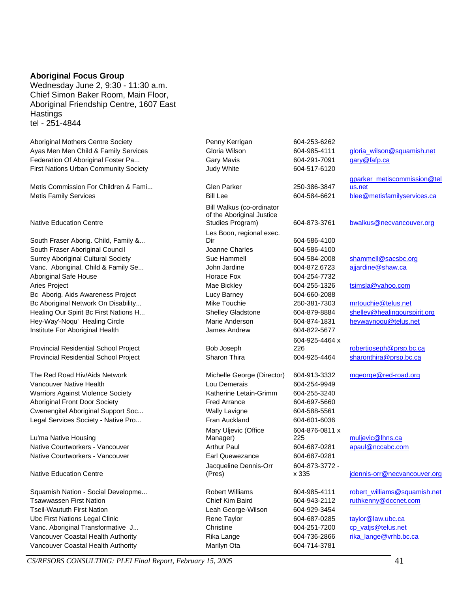#### **Aboriginal Focus Group**

Wednesday June 2, 9:30 - 11:30 a.m. Chief Simon Baker Room, Main Floor, Aboriginal Friendship Centre, 1607 East **Hastings** tel - 251-4844

Aboriginal Mothers Centre Society Penny Kerrigan 604-253-6262 Federation Of Aboriginal Foster Pa... Carrell Gary Mavis 604-291-7091 gary @fafp.ca First Nations Urban Community Society Judy White 604-517-6120

Metis Commission For Children & Fami... Glen Parker 250-386-3847

#### Native Education Centre

South Fraser Aborig. Child, Family &... South Fraser Aboriginal Council **Cultum** Charles Charles 604-586-4100 Vanc. Aboriginal. Child & Family Se... John Jardine 504-872.6723 ajjardine@shaw.ca Aboriginal Safe House **Horace Fox** Horace Fox 604-254-7732 Aries Project **Magnetic Mackets Magnetic Magnetic Magnetic Mackets** 604-255-1326 tsimsla@yahoo.com Bc Aborig. Aids Awareness Project Lucy Barney 604-660-2088 Bc Aboriginal Network On Disability... The Contract Mike Touchie 250-381-7303 mrtouchie@telus.net Institute For Aboriginal Health James Andrew 604-822-5677

Provincial Residential School Project Bob Joseph

Vancouver Native Health Lou Demerais 604-254-9949 Warriors Against Violence Society **Katherine Letain-Grimm** 604-255-3240 Aboriginal Front Door Society **Fred Arrance Fred Arrance** 604-697-5660 Cwenengitel Aboriginal Support Soc... Wally Lavigne 604-588-5561 Legal Services Society - Native Pro... Fran Auckland 604-601-6036

Lu'ma Native Housing Native Courtworkers - Vancouver Earl Quewezance 604-687-0281

Native Education Centre

Tseil-Waututh First Nation Leah George-Wilson 604-929-3454 Ubc First Nations Legal Clinic Taylor Rene Taylor 604-687-0285 taylor@law.ubc.ca Vanc. Aboriginal Transformative J... Christine Christine 604-251-7200 cp vatis@telus.net Vancouver Coastal Health Authority **Rika Lange Rika Lange** 604-736-2866 rika lange@vrhb.bc.ca Vancouver Coastal Health Authority **Marilyn Coastal Health Authority** Marilyn Ota 604-714-3781

Bill Walkus (co-ordinator of the Aboriginal Justice Les Boon, regional exec. Dir 604-586-4100 Mary Uljevic (Office Manager) Jacqueline Dennis-Orr (Pres)

Ayas Men Men Child & Family Services Gloria Wilson 604-985-4111 gloria wilson@squamish.net gparker\_metiscommission@tel us.net Metis Family Services **Bill Lee** 604-584-6621 blee@metisfamilyservices.ca Studies Program) 604-873-3761 bwalkus@necvancouver.org Surrey Aboriginal Cultural Society Sue Hammell 604-584-2008 shammell@sacsbc.org Healing Our Spirit Bc First Nations H... Shelley Gladstone 604-879-8884 shelley@healingourspirit.org Hey-Way'-Noqu' Healing Circle **Marie Anderson** 604-874-1831 heywaynoqu@telus.net 604-925-4464 x 226 robertjoseph@prsp.bc.ca Provincial Residential School Project Sharon Thira 604-925-4464 sharonthira@prsp.bc.ca The Red Road Hiv/Aids Network **Michelle George (Director)** 604-913-3332 mgeorge@red-road.org 604-876-0811 x 225 muljevic@lhns.ca Native Courtworkers - Vancouver **Arthur Paul 1996** Arthur Paul **604-687-0281** apaul@nccabc.com 604-873-3772 x 335 jdennis-orr@necvancouver.org Squamish Nation - Social Developme... Robert Williams 604-985-4111 robert williams@squamish.net Tsawwassen First Nation Chief Kim Baird 604-943-2112 ruthkenny@dccnet.com

*CS/RESORS CONSULTING: PLEI Final Report, February 15, 2005* 41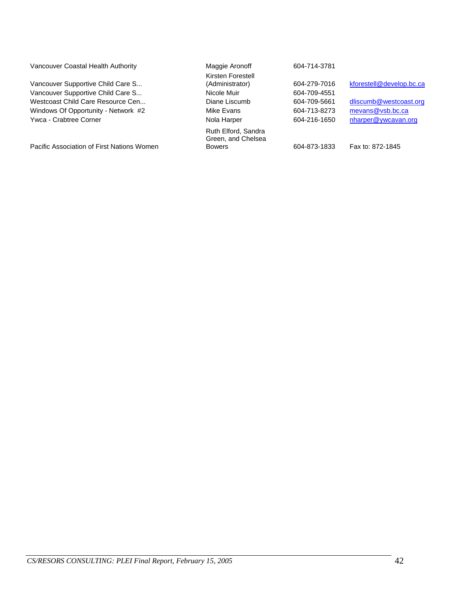| Vancouver Coastal Health Authority         | Maggie Aronoff                            | 604-714-3781 |                          |
|--------------------------------------------|-------------------------------------------|--------------|--------------------------|
|                                            | Kirsten Forestell                         |              |                          |
| Vancouver Supportive Child Care S          | (Administrator)                           | 604-279-7016 | kforestell@develop.bc.ca |
| Vancouver Supportive Child Care S          | Nicole Muir                               | 604-709-4551 |                          |
| Westcoast Child Care Resource Cen          | Diane Liscumb                             | 604-709-5661 | dliscumb@westcoast.org   |
| Windows Of Opportunity - Network #2        | Mike Evans                                | 604-713-8273 | mevans@vsb.bc.ca         |
| Ywca - Crabtree Corner                     | Nola Harper                               | 604-216-1650 | nharper@ywcavan.org      |
|                                            | Ruth Elford, Sandra<br>Green, and Chelsea |              |                          |
| Pacific Association of First Nations Women | <b>Bowers</b>                             | 604-873-1833 | Fax to: 872-1845         |
|                                            |                                           |              |                          |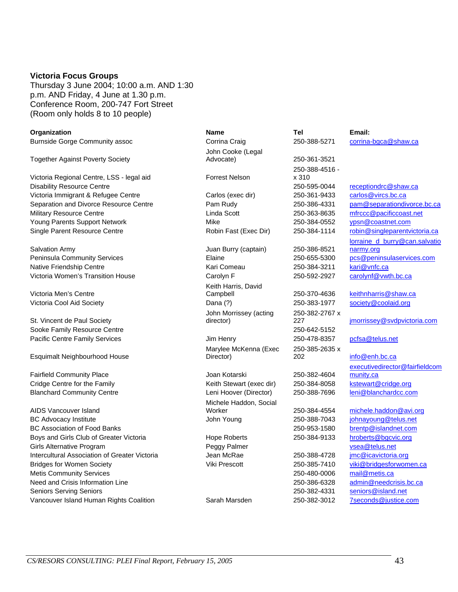#### **Victoria Focus Groups**

Thursday 3 June 2004; 10:00 a.m. AND 1:30 p.m. AND Friday, 4 June at 1.30 p.m. Conference Room, 200-747 Fort Street (Room only holds 8 to 10 people)

| Organization                                         | <b>Name</b>              | Tel            | Email:                         |
|------------------------------------------------------|--------------------------|----------------|--------------------------------|
| <b>Burnside Gorge Community assoc</b>                | Corrina Craig            | 250-388-5271   | corrina-bgca@shaw.ca           |
|                                                      | John Cooke (Legal        |                |                                |
| <b>Together Against Poverty Society</b>              | Advocate)                | 250-361-3521   |                                |
|                                                      |                          | 250-388-4516 - |                                |
| Victoria Regional Centre, LSS - legal aid            | <b>Forrest Nelson</b>    | x 310          |                                |
| <b>Disability Resource Centre</b>                    |                          | 250-595-0044   | receptiondrc@shaw.ca           |
| Victoria Immigrant & Refugee Centre                  | Carlos (exec dir)        | 250-361-9433   | carlos@vircs.bc.ca             |
| Separation and Divorce Resource Centre               | Pam Rudy                 | 250-386-4331   | pam@separationdivorce.bc.ca    |
| Military Resource Centre                             | Linda Scott              | 250-363-8635   | mfrccc@pacificcoast.net        |
| Young Parents Support Network                        | Mike                     | 250-384-0552   | ypsn@coastnet.com              |
| Single Parent Resource Centre                        | Robin Fast (Exec Dir)    | 250-384-1114   | robin@singleparentvictoria.ca  |
|                                                      |                          |                | lorraine d burry@can.salvatio  |
| Salvation Army                                       | Juan Burry (captain)     | 250-386-8521   | narmy.org                      |
| Peninsula Community Services                         | Elaine                   | 250-655-5300   | pcs@peninsulaservices.com      |
| Native Friendship Centre                             | Kari Comeau              | 250-384-3211   | kari@vnfc.ca                   |
| Victoria Women's Transition House                    | Carolyn F                | 250-592-2927   | carolynf@vwth.bc.ca            |
|                                                      | Keith Harris, David      |                |                                |
| Victoria Men's Centre                                | Campbell                 | 250-370-4636   | keithnharris@shaw.ca           |
| Victoria Cool Aid Society                            | Dana (?)                 | 250-383-1977   | society@coolaid.org            |
|                                                      | John Morrissey (acting   | 250-382-2767 x |                                |
| St. Vincent de Paul Society                          | director)                | 227            | jmorrissey@svdpvictoria.com    |
| Sooke Family Resource Centre                         |                          | 250-642-5152   |                                |
| Pacific Centre Family Services                       | Jim Henry                | 250-478-8357   | pcfsa@telus.net                |
|                                                      | Marylee McKenna (Exec    | 250-385-2635 x |                                |
| Esquimalt Neighbourhood House                        | Director)                | 202            | info@enh.bc.ca                 |
|                                                      |                          |                | executivedirector@fairfieldcom |
| <b>Fairfield Community Place</b>                     | Joan Kotarski            | 250-382-4604   | munity.ca                      |
| Cridge Centre for the Family                         | Keith Stewart (exec dir) | 250-384-8058   | kstewart@cridge.org            |
| <b>Blanchard Community Centre</b>                    | Leni Hoover (Director)   | 250-388-7696   | leni@blanchardcc.com           |
|                                                      | Michele Haddon, Social   |                |                                |
| AIDS Vancouver Island                                | Worker                   | 250-384-4554   | michele.haddon@avi.org         |
| <b>BC Advocacy Institute</b>                         | John Young               | 250-388-7043   | johnayoung@telus.net           |
| <b>BC Association of Food Banks</b>                  |                          | 250-953-1580   | brentp@islandnet.com           |
| Boys and Girls Club of Greater Victoria              | Hope Roberts             | 250-384-9133   | hroberts@bgcvic.org            |
| <b>Girls Alternative Program</b>                     | Peggy Palmer             |                | vsea@telus.net                 |
| <b>Intercultural Association of Greater Victoria</b> | Jean McRae               | 250-388-4728   | jmc@icavictoria.org            |
| <b>Bridges for Women Society</b>                     | Viki Prescott            | 250-385-7410   | viki@bridgesforwomen.ca        |
| <b>Metis Community Services</b>                      |                          | 250-480-0006   | mail@metis.ca                  |
| Need and Crisis Information Line                     |                          | 250-386-6328   | admin@needcrisis.bc.ca         |
| <b>Seniors Serving Seniors</b>                       |                          | 250-382-4331   | seniors@island.net             |
| Vancouver Island Human Rights Coalition              | Sarah Marsden            | 250-382-3012   | 7seconds@justice.com           |
|                                                      |                          |                |                                |

| Name                                | Tel                     | Email:                         |
|-------------------------------------|-------------------------|--------------------------------|
| Corrina Craig                       | 250-388-5271            | corrina-bgca@shaw.ca           |
| John Cooke (Legal                   |                         |                                |
| Advocate)                           | 250-361-3521            |                                |
| Forrest Nelson                      | 250-388-4516 -<br>x 310 |                                |
|                                     | 250-595-0044            | receptiondrc@shaw.ca           |
| Carlos (exec dir)                   | 250-361-9433            | carlos@vircs.bc.ca             |
| Pam Rudy                            | 250-386-4331            | pam@separationdivorce.bc.ca    |
| Linda Scott                         | 250-363-8635            | mfrccc@pacificcoast.net        |
| Mike                                | 250-384-0552            | ypsn@coastnet.com              |
| Robin Fast (Exec Dir)               | 250-384-1114            | robin@singleparentvictoria.ca  |
|                                     |                         | lorraine_d_burry@can.salvatio  |
| Juan Burry (captain)                | 250-386-8521            | narmy.org                      |
| Elaine                              | 250-655-5300            | pcs@peninsulaservices.com      |
| Kari Comeau                         | 250-384-3211            | kari@vnfc.ca                   |
| Carolyn F                           | 250-592-2927            | carolynf@vwth.bc.ca            |
| Keith Harris, David                 |                         |                                |
| Campbell                            | 250-370-4636            | keithnharris@shaw.ca           |
| Dana (?)                            | 250-383-1977            | society@coolaid.org            |
| John Morrissey (acting<br>director) | 250-382-2767 x<br>227   | jmorrissey@svdpvictoria.com    |
|                                     | 250-642-5152            |                                |
| Jim Henry                           | 250-478-8357            | pcfsa@telus.net                |
| Marylee McKenna (Exec               | 250-385-2635 x          |                                |
| Director)                           | 202                     | info@enh.bc.ca                 |
|                                     |                         | executivedirector@fairfieldcom |
| Joan Kotarski                       | 250-382-4604            | munity.ca                      |
| Keith Stewart (exec dir)            | 250-384-8058            | kstewart@cridge.org            |
| Leni Hoover (Director)              | 250-388-7696            | leni@blanchardcc.com           |
| Michele Haddon, Social              |                         |                                |
| Worker                              | 250-384-4554            | michele.haddon@avi.org         |
| John Young                          | 250-388-7043            | johnayoung@telus.net           |
|                                     | 250-953-1580            | brentp@islandnet.com           |
| <b>Hope Roberts</b>                 | 250-384-9133            | hroberts@bgcvic.org            |
| Peggy Palmer                        |                         | vsea@telus.net                 |
| Jean McRae                          | 250-388-4728            | jmc@icavictoria.org            |
| Viki Prescott                       | 250-385-7410            | viki@bridgesforwomen.ca        |
|                                     | 250-480-0006            | mail@metis.ca                  |
|                                     | 250-386-6328            | admin@needcrisis.bc.ca         |
|                                     | 250-382-4331            | seniors@island.net             |

*CS/RESORS CONSULTING: PLEI Final Report, February 15, 2005* 43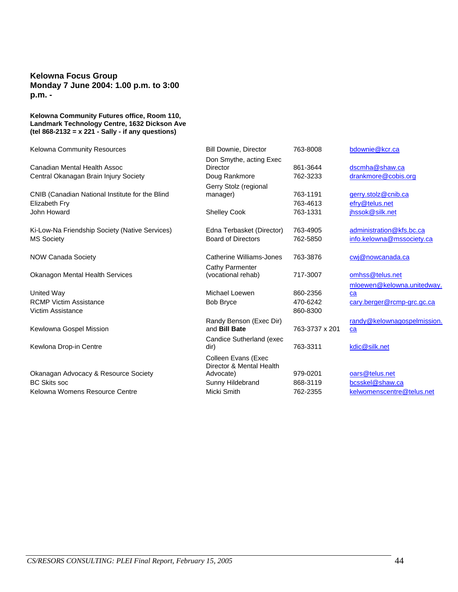#### **Kelowna Focus Group Monday 7 June 2004: 1.00 p.m. to 3:00 p.m. -**

#### **Kelowna Community Futures office, Room 110, Landmark Technology Centre, 1632 Dickson Ave (tel 868-2132 = x 221 - Sally - if any questions)**

| Kelowna Community Resources                     | <b>Bill Downie, Director</b>                    | 763-8008       | bdownie@kcr.ca                    |
|-------------------------------------------------|-------------------------------------------------|----------------|-----------------------------------|
|                                                 | Don Smythe, acting Exec                         |                |                                   |
| Canadian Mental Health Assoc                    | <b>Director</b>                                 | 861-3644       | dscmha@shaw.ca                    |
| Central Okanagan Brain Injury Society           | Doug Rankmore                                   | 762-3233       | drankmore@cobis.org               |
|                                                 | Gerry Stolz (regional                           |                |                                   |
| CNIB (Canadian National Institute for the Blind | manager)                                        | 763-1191       | gerry.stolz@cnib.ca               |
| Elizabeth Fry                                   |                                                 | 763-4613       | efry@telus.net                    |
| John Howard                                     | <b>Shelley Cook</b>                             | 763-1331       | ihssok@silk.net                   |
| Ki-Low-Na Friendship Society (Native Services)  | Edna Terbasket (Director)                       | 763-4905       | administration@kfs.bc.ca          |
| <b>MS Society</b>                               | <b>Board of Directors</b>                       | 762-5850       | info.kelowna@mssociety.ca         |
| <b>NOW Canada Society</b>                       | Catherine Williams-Jones                        | 763-3876       | cwj@nowcanada.ca                  |
|                                                 | Cathy Parmenter                                 |                |                                   |
| <b>Okanagon Mental Health Services</b>          | (vocational rehab)                              | 717-3007       | omhss@telus.net                   |
|                                                 |                                                 |                | mloewen@kelowna.unitedway.        |
| United Way                                      | Michael Loewen                                  | 860-2356       | ca                                |
| <b>RCMP Victim Assistance</b>                   | <b>Bob Bryce</b>                                | 470-6242       | cary.berger@rcmp-grc.gc.ca        |
| <b>Victim Assistance</b>                        |                                                 | 860-8300       |                                   |
| Kewlowna Gospel Mission                         | Randy Benson (Exec Dir)<br>and <b>Bill Bate</b> | 763-3737 x 201 | randy@kelownagospelmission.<br>ca |
| Kewlona Drop-in Centre                          | Candice Sutherland (exec<br>dir)                | 763-3311       | kdic@silk.net                     |
|                                                 |                                                 |                |                                   |
|                                                 | Colleen Evans (Exec<br>Director & Mental Health |                |                                   |
| Okanagan Advocacy & Resource Society            | Advocate)                                       | 979-0201       | oars@telus.net                    |
| <b>BC Skits soc</b>                             | Sunny Hildebrand                                | 868-3119       | bcsskel@shaw.ca                   |
| Kelowna Womens Resource Centre                  | Micki Smith                                     | 762-2355       | kelwomenscentre@telus.net         |
|                                                 |                                                 |                |                                   |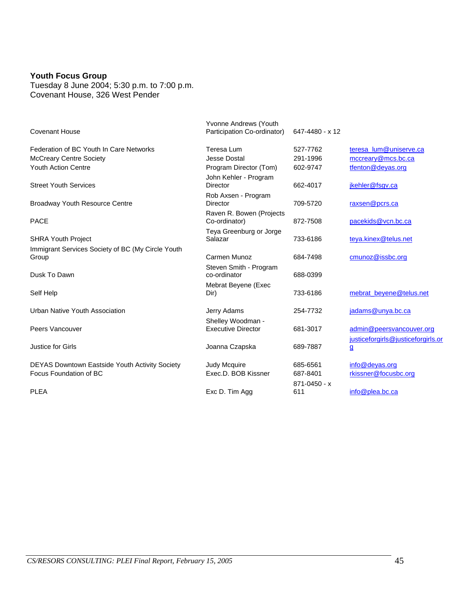#### **Youth Focus Group**

Tuesday 8 June 2004; 5:30 p.m. to 7:00 p.m. Covenant House, 326 West Pender

| <b>Covenant House</b>                             | Yvonne Andrews (Youth<br>Participation Co-ordinator) | 647-4480 - x 12         |                                                                |
|---------------------------------------------------|------------------------------------------------------|-------------------------|----------------------------------------------------------------|
| Federation of BC Youth In Care Networks           | Teresa Lum                                           | 527-7762                | teresa_lum@uniserve.ca                                         |
| <b>McCreary Centre Society</b>                    | <b>Jesse Dostal</b>                                  | 291-1996                | mccreary@mcs.bc.ca                                             |
| <b>Youth Action Centre</b>                        | Program Director (Tom)                               | 602-9747                | tfenton@deyas.org                                              |
| <b>Street Youth Services</b>                      | John Kehler - Program<br><b>Director</b>             | 662-4017                | jkehler@fsgv.ca                                                |
| <b>Broadway Youth Resource Centre</b>             | Rob Axsen - Program<br><b>Director</b>               | 709-5720                | raxsen@pcrs.ca                                                 |
| <b>PACE</b>                                       | Raven R. Bowen (Projects<br>Co-ordinator)            | 872-7508                | pacekids@vcn.bc.ca                                             |
| <b>SHRA Youth Project</b>                         | Teya Greenburg or Jorge<br>Salazar                   | 733-6186                | teya.kinex@telus.net                                           |
| Immigrant Services Society of BC (My Circle Youth |                                                      |                         |                                                                |
| Group                                             | Carmen Munoz                                         | 684-7498                | cmunoz@issbc.org                                               |
| Dusk To Dawn                                      | Steven Smith - Program<br>co-ordinator               | 688-0399                |                                                                |
| Self Help                                         | Mebrat Beyene (Exec<br>Dir)                          | 733-6186                | mebrat_beyene@telus.net                                        |
| Urban Native Youth Association                    | Jerry Adams                                          | 254-7732                | jadams@unya.bc.ca                                              |
| Peers Vancouver                                   | Shelley Woodman -<br><b>Executive Director</b>       | 681-3017                | admin@peersvancouver.org<br>justiceforgirls@justiceforgirls.or |
| Justice for Girls                                 | Joanna Czapska                                       | 689-7887                | $\mathbf{g}$                                                   |
| DEYAS Downtown Eastside Youth Activity Society    | <b>Judy Mcquire</b>                                  | 685-6561                | info@deyas.org                                                 |
| Focus Foundation of BC                            | Exec.D. BOB Kissner                                  | 687-8401                | rkissner@focusbc.org                                           |
| <b>PLEA</b>                                       | Exc D. Tim Agg                                       | $871 - 0450 - x$<br>611 | info@plea.bc.ca                                                |
|                                                   |                                                      |                         |                                                                |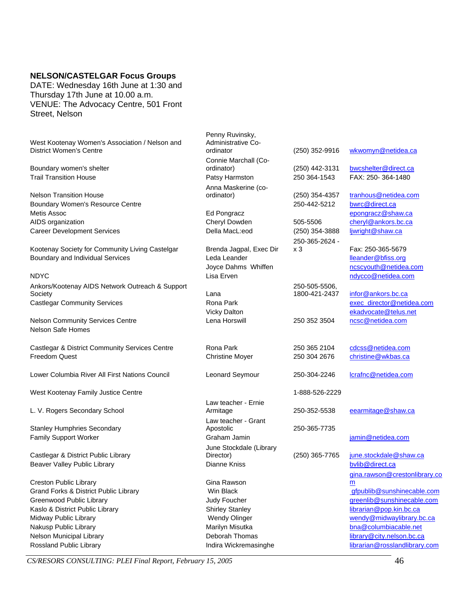#### **NELSON/CASTELGAR Focus Groups**

DATE: Wednesday 16th June at 1:30 and Thursday 17th June at 10.00 a.m. VENUE: The Advocacy Centre, 501 Front Street, Nelson

| West Kootenay Women's Association / Nelson and<br><b>District Women's Centre</b> | Penny Ruvinsky,<br>Administrative Co-<br>ordinator | (250) 352-9916   | wkwomyn@netidea.ca            |
|----------------------------------------------------------------------------------|----------------------------------------------------|------------------|-------------------------------|
|                                                                                  | Connie Marchall (Co-                               |                  |                               |
| Boundary women's shelter                                                         | ordinator)                                         | (250) 442-3131   | bwcshelter@direct.ca          |
| <b>Trail Transition House</b>                                                    | Patsy Harmston                                     | 250 364-1543     | FAX: 250-364-1480             |
|                                                                                  | Anna Maskerine (co-                                |                  |                               |
| <b>Nelson Transition House</b>                                                   | ordinator)                                         | (250) 354-4357   | tranhous@netidea.com          |
| Boundary Women's Resource Centre                                                 |                                                    | 250-442-5212     | bwrc@direct.ca                |
| Metis Assoc                                                                      | Ed Pongracz                                        |                  | epongracz@shaw.ca             |
| AIDS organization                                                                | Cheryl Dowden                                      | 505-5506         | cheryl@ankors.bc.ca           |
| <b>Career Development Services</b>                                               | Della MacL:eod                                     | (250) 354-3888   | ljwright@shaw.ca              |
|                                                                                  |                                                    | 250-365-2624 -   |                               |
| Kootenay Society for Community Living Castelgar                                  | Brenda Jagpal, Exec Dir                            | x <sub>3</sub>   | Fax: 250-365-5679             |
| Boundary and Individual Services                                                 | Leda Leander                                       |                  | lleander@bfiss.org            |
|                                                                                  | Joyce Dahms Whiffen                                |                  | ncscyouth@netidea.com         |
| <b>NDYC</b>                                                                      | Lisa Erven                                         |                  | ndycco@netidea.com            |
| Ankors/Kootenay AIDS Network Outreach & Support                                  |                                                    | 250-505-5506,    |                               |
| Society                                                                          | Lana                                               | 1800-421-2437    | infor@ankors.bc.ca            |
| <b>Castlegar Community Services</b>                                              | Rona Park                                          |                  | exec_director@netidea.com     |
|                                                                                  | <b>Vicky Dalton</b>                                |                  | ekadvocate@telus.net          |
| <b>Nelson Community Services Centre</b>                                          | Lena Horswill                                      | 250 352 3504     | ncsc@netidea.com              |
| <b>Nelson Safe Homes</b>                                                         |                                                    |                  |                               |
|                                                                                  |                                                    |                  |                               |
| Castlegar & District Community Services Centre                                   | Rona Park                                          | 250 365 2104     | cdcss@netidea.com             |
| <b>Freedom Quest</b>                                                             | <b>Christine Moyer</b>                             | 250 304 2676     | christine@wkbas.ca            |
|                                                                                  |                                                    |                  |                               |
| Lower Columbia River All First Nations Council                                   | Leonard Seymour                                    | 250-304-2246     | lcrafnc@netidea.com           |
|                                                                                  |                                                    |                  |                               |
| West Kootenay Family Justice Centre                                              |                                                    | 1-888-526-2229   |                               |
|                                                                                  | Law teacher - Ernie                                |                  |                               |
| L. V. Rogers Secondary School                                                    | Armitage                                           | 250-352-5538     | eearmitage@shaw.ca            |
|                                                                                  | Law teacher - Grant                                |                  |                               |
| <b>Stanley Humphries Secondary</b>                                               | Apostolic                                          | 250-365-7735     |                               |
| <b>Family Support Worker</b>                                                     | Graham Jamin                                       |                  | jamin@netidea.com             |
|                                                                                  | June Stockdale (Library                            |                  |                               |
| Castlegar & District Public Library                                              | Director)                                          | $(250)$ 365-7765 | june.stockdale@shaw.ca        |
| Beaver Valley Public Library                                                     | Dianne Kniss                                       |                  | bvlib@direct.ca               |
|                                                                                  |                                                    |                  | gina.rawson@crestonlibrary.co |
| <b>Creston Public Library</b>                                                    | Gina Rawson                                        |                  | m                             |
| Grand Forks & District Public Library                                            | Win Black                                          |                  | gfpublib@sunshinecable.com    |
| Greenwood Public Library                                                         | Judy Foucher                                       |                  | greenlib@sunshinecable.com    |
| Kaslo & District Public Library                                                  | <b>Shirley Stanley</b>                             |                  | librarian@pop.kin.bc.ca       |
| Midway Public Library                                                            | Wendy Olinger                                      |                  | wendy@midwaylibrary.bc.ca     |
| Nakusp Public Library                                                            | Marilyn Misutka                                    |                  | bna@columbiacable.net         |
| Nelson Municipal Library                                                         | Deborah Thomas                                     |                  | library@city.nelson.bc.ca     |
| Rossland Public Library                                                          | Indira Wickremasinghe                              |                  | librarian@rosslandlibrary.com |

*CS/RESORS CONSULTING: PLEI Final Report, February 15, 2005* 46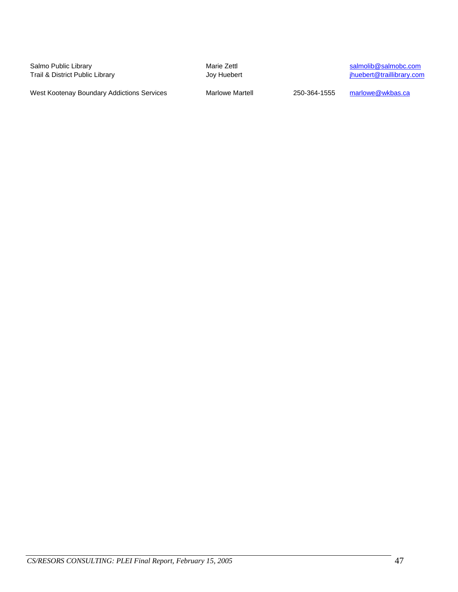Salmo Public Library **Salmolic Library** Marie Zettl Salmo Public Library Companies And Trail & District Public Library<br>
Trail & District Public Library **Marie State State State State State State State State State State Sta** Trail & District Public Library

West Kootenay Boundary Addictions Services Marlowe Martell 250-364-1555 marlowe@wkbas.ca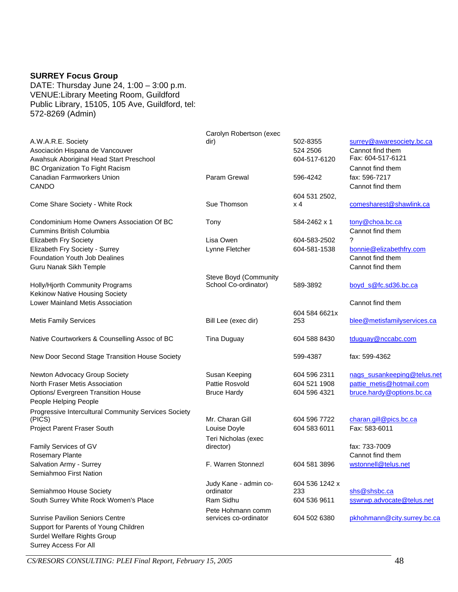#### **SURREY Focus Group**

DATE: Thursday June 24, 1:00 – 3:00 p.m. VENUE:Library Meeting Room, Guildford Public Library, 15105, 105 Ave, Guildford, tel: 572-8269 (Admin)

|                                                      | Carolyn Robertson (exec                       |                |                             |
|------------------------------------------------------|-----------------------------------------------|----------------|-----------------------------|
| A.W.A.R.E. Society                                   | dir)                                          | 502-8355       | surrey@awaresociety.bc.ca   |
| Asociación Hispana de Vancouver                      |                                               | 524 2506       | Cannot find them            |
| Awahsuk Aboriginal Head Start Preschool              |                                               | 604-517-6120   | Fax: 604-517-6121           |
| BC Organization To Fight Racism                      |                                               |                | Cannot find them            |
| Canadian Farmworkers Union                           | Param Grewal                                  | 596-4242       | fax: 596-7217               |
| CANDO                                                |                                               |                | Cannot find them            |
|                                                      |                                               |                |                             |
|                                                      |                                               | 604 531 2502,  |                             |
| Come Share Society - White Rock                      | Sue Thomson                                   | x 4            | comesharest@shawlink.ca     |
|                                                      |                                               |                |                             |
| Condominium Home Owners Association Of BC            | Tony                                          | 584-2462 x 1   | tony@choa.bc.ca             |
| <b>Cummins British Columbia</b>                      |                                               |                | Cannot find them            |
| <b>Elizabeth Fry Society</b>                         | Lisa Owen                                     | 604-583-2502   | ?                           |
| Elizabeth Fry Society - Surrey                       | Lynne Fletcher                                | 604-581-1538   | bonnie@elizabethfry.com     |
| <b>Foundation Youth Job Dealines</b>                 |                                               |                | Cannot find them            |
| Guru Nanak Sikh Temple                               |                                               |                | Cannot find them            |
|                                                      |                                               |                |                             |
| Holly/Hjorth Community Programs                      | Steve Boyd (Community<br>School Co-ordinator) | 589-3892       | boyd s@fc.sd36.bc.ca        |
|                                                      |                                               |                |                             |
| <b>Kekinow Native Housing Society</b>                |                                               |                |                             |
| Lower Mainland Metis Association                     |                                               |                | Cannot find them            |
|                                                      |                                               | 604 584 6621x  |                             |
| <b>Metis Family Services</b>                         | Bill Lee (exec dir)                           | 253            | blee@metisfamilyservices.ca |
|                                                      |                                               |                |                             |
| Native Courtworkers & Counselling Assoc of BC        | <b>Tina Duguay</b>                            | 604 588 8430   | tduguay@nccabc.com          |
|                                                      |                                               |                |                             |
| New Door Second Stage Transition House Society       |                                               | 599-4387       | fax: 599-4362               |
|                                                      |                                               |                |                             |
| Newton Advocacy Group Society                        | Susan Keeping                                 | 604 596 2311   | nags_susankeeping@telus.net |
| North Fraser Metis Association                       | Pattie Rosvold                                | 604 521 1908   | pattie_metis@hotmail.com    |
| Options/ Evergreen Transition House                  | <b>Bruce Hardy</b>                            | 604 596 4321   | bruce.hardy@options.bc.ca   |
|                                                      |                                               |                |                             |
| People Helping People                                |                                               |                |                             |
| Progressive Intercultural Community Services Society |                                               |                |                             |
| (PICS)                                               | Mr. Charan Gill                               | 604 596 7722   | charan.gill@pics.bc.ca      |
| Project Parent Fraser South                          | Louise Doyle                                  | 604 583 6011   | Fax: 583-6011               |
|                                                      | Teri Nicholas (exec                           |                |                             |
| Family Services of GV                                | director)                                     |                | fax: 733-7009               |
| Rosemary Plante                                      |                                               |                | Cannot find them            |
| Salvation Army - Surrey                              | F. Warren Stonnezl                            | 604 581 3896   | wstonnell@telus.net         |
| Semiahmoo First Nation                               |                                               |                |                             |
|                                                      |                                               |                |                             |
|                                                      | Judy Kane - admin co-<br>ordinator            | 604 536 1242 x |                             |
| Semiahmoo House Society                              |                                               | 233            | shs@shsbc.ca                |
| South Surrey White Rock Women's Place                | Ram Sidhu                                     | 604 536 9611   | sswrwp.advocate@telus.net   |
|                                                      | Pete Hohmann comm                             |                |                             |
| <b>Sunrise Pavilion Seniors Centre</b>               | services co-ordinator                         | 604 502 6380   | pkhohmann@city.surrey.bc.ca |
| Support for Parents of Young Children                |                                               |                |                             |
| Surdel Welfare Rights Group                          |                                               |                |                             |

*CS/RESORS CONSULTING: PLEI Final Report, February 15, 2005* 48

Surrey Access For All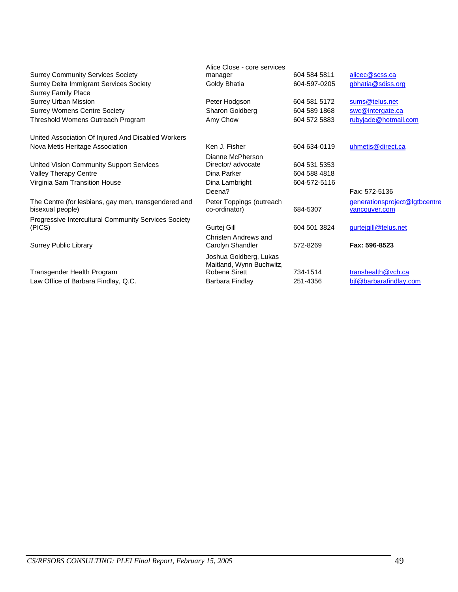|                                                      | Alice Close - core services               |              |                               |
|------------------------------------------------------|-------------------------------------------|--------------|-------------------------------|
| <b>Surrey Community Services Society</b>             | manager                                   | 604 584 5811 | alicec@scss.ca                |
| Surrey Delta Immigrant Services Society              | Goldy Bhatia                              | 604-597-0205 | gbhatia@sdiss.org             |
| <b>Surrey Family Place</b>                           |                                           |              |                               |
| <b>Surrey Urban Mission</b>                          | Peter Hodgson                             | 604 581 5172 | sums@telus.net                |
| <b>Surrey Womens Centre Society</b>                  | Sharon Goldberg                           | 604 589 1868 | swc@intergate.ca              |
| Threshold Womens Outreach Program                    | Amy Chow                                  | 604 572 5883 | rubyjade@hotmail.com          |
| United Association Of Injured And Disabled Workers   |                                           |              |                               |
| Nova Metis Heritage Association                      | Ken J. Fisher                             | 604 634-0119 | uhmetis@direct.ca             |
|                                                      | Dianne McPherson                          |              |                               |
| United Vision Community Support Services             | Director/ advocate                        | 604 531 5353 |                               |
| Valley Therapy Centre                                | Dina Parker                               | 604 588 4818 |                               |
| Virginia Sam Transition House                        | Dina Lambright                            | 604-572-5116 |                               |
|                                                      | Deena?                                    |              | Fax: 572-5136                 |
| The Centre (for lesbians, gay men, transgendered and | Peter Toppings (outreach                  |              | generationsproject@lgtbcentre |
| bisexual people)                                     | co-ordinator)                             | 684-5307     | vancouver.com                 |
| Progressive Intercultural Community Services Society |                                           |              |                               |
| (PICS)                                               | Gurtej Gill                               | 604 501 3824 | gurteigill@telus.net          |
|                                                      | Christen Andrews and                      |              |                               |
| <b>Surrey Public Library</b>                         | Carolyn Shandler                          | 572-8269     | Fax: 596-8523                 |
|                                                      | Joshua Goldberg, Lukas                    |              |                               |
|                                                      | Maitland, Wynn Buchwitz,<br>Robena Sirett | 734-1514     |                               |
| Transgender Health Program                           |                                           |              | transhealth@vch.ca            |
| Law Office of Barbara Findlay, Q.C.                  | Barbara Findlay                           | 251-4356     | bif@barbarafindlay.com        |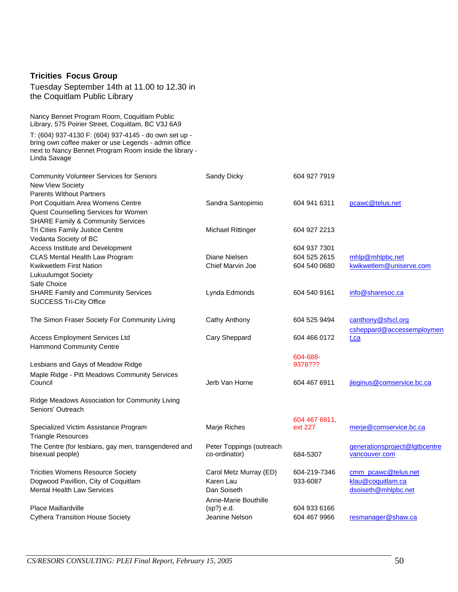#### **Tricities Focus Group**

Tuesday September 14th at 11.00 to 12.30 in the Coquitlam Public Library

Nancy Bennet Program Room, Coquitlam Public Library, 575 Poirier Street, Coquitlam, BC V3J 6A9

T: (604) 937-4130 F: (604) 937-4145 - do own set up bring own coffee maker or use Legends - admin office next to Nancy Bennet Program Room inside the library - Linda Savage

| <b>Community Volunteer Services for Seniors</b>                          | Sandy Dicky                               | 604 927 7919  |                                                |
|--------------------------------------------------------------------------|-------------------------------------------|---------------|------------------------------------------------|
| New View Society                                                         |                                           |               |                                                |
| <b>Parents Without Partners</b>                                          |                                           |               |                                                |
| Port Coquitlam Area Womens Centre                                        | Sandra Santopimio                         | 604 941 6311  | pcawc@telus.net                                |
| Quest Counselling Services for Women                                     |                                           |               |                                                |
| <b>SHARE Family &amp; Community Services</b>                             |                                           |               |                                                |
| Tri Cities Family Justice Centre                                         | <b>Michael Rittinger</b>                  | 604 927 2213  |                                                |
| Vedanta Society of BC                                                    |                                           |               |                                                |
| Access Institute and Development                                         |                                           | 604 937 7301  |                                                |
| CLAS Mental Health Law Program                                           | Diane Nielsen                             | 604 525 2615  | mhlp@mhlpbc.net                                |
| Kwikwetlem First Nation                                                  | Chief Marvin Joe                          | 604 540 0680  | kwikwetlem@uniserve.com                        |
| Lukuulumgot Society                                                      |                                           |               |                                                |
| Safe Choice                                                              |                                           |               |                                                |
| <b>SHARE Family and Community Services</b>                               | Lynda Edmonds                             | 604 540 9161  | info@sharesoc.ca                               |
| <b>SUCCESS Tri-City Office</b>                                           |                                           |               |                                                |
| The Simon Fraser Society For Community Living                            | Cathy Anthony                             | 604 525 9494  | canthony@sfscl.org                             |
|                                                                          |                                           |               | csheppard@accessemploymen                      |
| <b>Access Employment Services Ltd</b>                                    | Cary Sheppard                             | 604 466 0172  | t.ca                                           |
| <b>Hammond Community Centre</b>                                          |                                           |               |                                                |
|                                                                          |                                           | 604-688-      |                                                |
| Lesbians and Gays of Meadow Ridge                                        |                                           | 9378???       |                                                |
| Maple Ridge - Pitt Meadows Community Services                            |                                           |               |                                                |
| Council                                                                  | Jerb Van Horne                            | 604 467 6911  | jleginus@comservice.bc.ca                      |
| Ridge Meadows Association for Community Living                           |                                           |               |                                                |
| Seniors' Outreach                                                        |                                           |               |                                                |
|                                                                          |                                           | 604 467 6911, |                                                |
| Specialized Victim Assistance Program<br><b>Triangle Resources</b>       | Marje Riches                              | ext 227       | merje@comservice.bc.ca                         |
|                                                                          |                                           |               |                                                |
| The Centre (for lesbians, gay men, transgendered and<br>bisexual people) | Peter Toppings (outreach<br>co-ordinator) | 684-5307      | generationsproject@lgtbcentre<br>vancouver.com |
| <b>Tricities Womens Resource Society</b>                                 | Carol Metz Murray (ED)                    | 604-219-7346  | cmm_pcawc@telus.net                            |
| Dogwood Pavillion, City of Coquitlam                                     | Karen Lau                                 | 933-6087      | klau@coquitlam.ca                              |
| <b>Mental Health Law Services</b>                                        | Dan Soiseth                               |               | dsoiseth@mhlpbc.net                            |
|                                                                          | Anne-Marie Bouthille                      |               |                                                |
| Place Maillardville                                                      | (sp?) e.d.                                | 604 933 6166  |                                                |
| <b>Cythera Transition House Society</b>                                  | Jeanine Nelson                            | 604 467 9966  | resmanager@shaw.ca                             |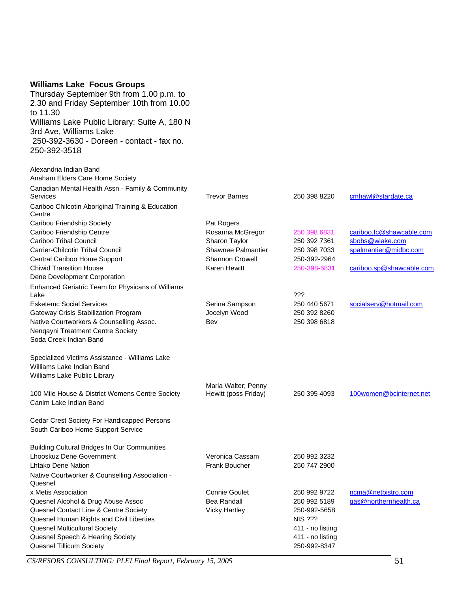#### **Williams Lake Focus Groups**

Alexandria Indian Band

Thursday September 9th from 1.00 p.m. to 2.30 and Friday September 10th from 10.00 to 11.30 Williams Lake Public Library: Suite A, 180 N 3rd Ave, Williams Lake 250-392-3630 - Doreen - contact - fax no. 250-392-3518

| Anaham Elders Care Home Society                                                                             |                                             |                  |                          |
|-------------------------------------------------------------------------------------------------------------|---------------------------------------------|------------------|--------------------------|
| Canadian Mental Health Assn - Family & Community<br><b>Services</b>                                         | <b>Trevor Barnes</b>                        | 250 398 8220     | cmhawl@stardate.ca       |
| Cariboo Chilcotin Aboriginal Training & Education<br>Centre                                                 |                                             |                  |                          |
| Caribou Friendship Society                                                                                  | Pat Rogers                                  |                  |                          |
| Cariboo Friendship Centre                                                                                   | Rosanna McGregor                            | 250 398 6831     | cariboo.fc@shawcable.com |
| Cariboo Tribal Council                                                                                      | Sharon Taylor                               | 250 392 7361     | sbobs@wlake.com          |
| Carrier-Chilcotin Tribal Council                                                                            | Shawnee Palmantier                          | 250 398 7033     | spalmantier@midbc.com    |
| Central Cariboo Home Support                                                                                | <b>Shannon Crowell</b>                      | 250-392-2964     |                          |
| <b>Chiwid Transition House</b>                                                                              | Karen Hewitt                                | 250-398-6831     | cariboo.sp@shawcable.com |
| Dene Development Corporation                                                                                |                                             |                  |                          |
| Enhanced Geriatric Team for Physicans of Williams<br>Lake                                                   |                                             | ???              |                          |
| <b>Esketemc Social Services</b>                                                                             | Serina Sampson                              | 250 440 5671     | socialserv@hotmail.com   |
| Gateway Crisis Stabilization Program                                                                        | Jocelyn Wood                                | 250 392 8260     |                          |
| Native Courtworkers & Counselling Assoc.                                                                    | Bev                                         | 250 398 6818     |                          |
| Nengayni Treatment Centre Society                                                                           |                                             |                  |                          |
| Soda Creek Indian Band                                                                                      |                                             |                  |                          |
| Specialized Victims Assistance - Williams Lake<br>Williams Lake Indian Band<br>Williams Lake Public Library |                                             |                  |                          |
| 100 Mile House & District Womens Centre Society<br>Canim Lake Indian Band                                   | Maria Walter; Penny<br>Hewitt (poss Friday) | 250 395 4093     | 100women@bcinternet.net  |
| Cedar Crest Society For Handicapped Persons<br>South Cariboo Home Support Service                           |                                             |                  |                          |
| <b>Building Cultural Bridges In Our Communities</b>                                                         |                                             |                  |                          |
| <b>Lhooskuz Dene Government</b>                                                                             | Veronica Cassam                             | 250 992 3232     |                          |
| Lhtako Dene Nation                                                                                          | <b>Frank Boucher</b>                        | 250 747 2900     |                          |
| Native Courtworker & Counselling Association -<br>Quesnel                                                   |                                             |                  |                          |
| x Metis Association                                                                                         | <b>Connie Goulet</b>                        | 250 992 9722     | ncma@netbistro.com       |
| Quesnel Alcohol & Drug Abuse Assoc                                                                          | <b>Bea Randall</b>                          | 250 992 5189     | gas@northernhealth.ca    |
| Quesnel Contact Line & Centre Society                                                                       | <b>Vicky Hartley</b>                        | 250-992-5658     |                          |
| Quesnel Human Rights and Civil Liberties                                                                    |                                             | <b>NIS ???</b>   |                          |
| Quesnel Multicultural Society                                                                               |                                             | 411 - no listing |                          |
| Quesnel Speech & Hearing Society                                                                            |                                             | 411 - no listing |                          |
| <b>Quesnel Tillicum Society</b>                                                                             |                                             | 250-992-8347     |                          |

*CS/RESORS CONSULTING: PLEI Final Report, February 15, 2005* 51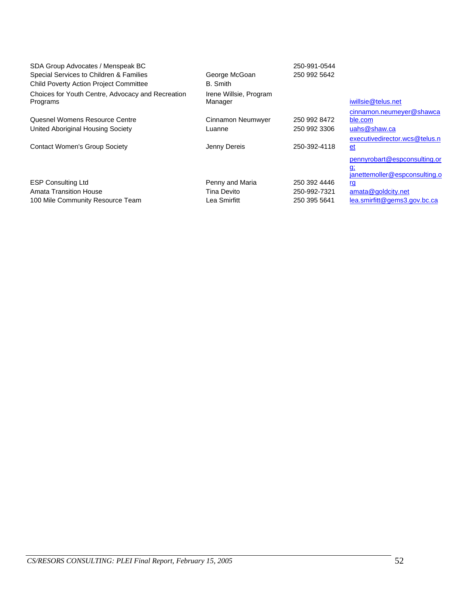| SDA Group Advocates / Menspeak BC<br>Special Services to Children & Families | George McGoan          | 250-991-0544<br>250 992 5642 |                               |
|------------------------------------------------------------------------------|------------------------|------------------------------|-------------------------------|
| <b>Child Poverty Action Project Committee</b>                                | B. Smith               |                              |                               |
| Choices for Youth Centre, Advocacy and Recreation                            | Irene Willsie, Program |                              |                               |
| Programs                                                                     | Manager                |                              | iwillsie@telus.net            |
|                                                                              |                        |                              | cinnamon.neumeyer@shawca      |
| Quesnel Womens Resource Centre                                               | Cinnamon Neumwyer      | 250 992 8472                 | ble.com                       |
| United Aboriginal Housing Society                                            | Luanne                 | 250 992 3306                 | uahs@shaw.ca                  |
|                                                                              |                        |                              | executivedirector.wcs@telus.n |
| <b>Contact Women's Group Society</b>                                         | Jenny Dereis           | 250-392-4118                 | $et$                          |
|                                                                              |                        |                              | pennyrobart@espconsulting.or  |
|                                                                              |                        |                              | <u>g:</u>                     |
|                                                                              |                        |                              | janettemoller@espconsulting.o |
| <b>ESP Consulting Ltd</b>                                                    | Penny and Maria        | 250 392 4446                 | <u>rg</u>                     |
| <b>Amata Transition House</b>                                                | Tina Devito            | 250-992-7321                 | amata@goldcity.net            |
| 100 Mile Community Resource Team                                             | Lea Smirfitt           | 250 395 5641                 | lea.smirfitt@gems3.gov.bc.ca  |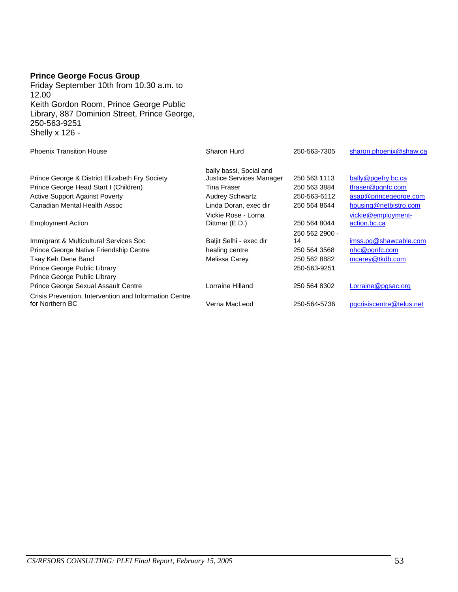#### **Prince George Focus Group**

Friday September 10th from 10.30 a.m. to 12.00 Keith Gordon Room, Prince George Public Library, 887 Dominion Street, Prince George, 250-563-9251 Shelly x 126 -

| <b>Phoenix Transition House</b>                        | Sharon Hurd                           | 250-563-7305   | sharon.phoenix@shaw.ca             |
|--------------------------------------------------------|---------------------------------------|----------------|------------------------------------|
|                                                        | bally bassi, Social and               |                |                                    |
| Prince George & District Elizabeth Fry Society         | Justice Services Manager              | 250 563 1113   | bally@pgefry.bc.ca                 |
| Prince George Head Start I (Children)                  | Tina Fraser                           | 250 563 3884   | tfraser@pgnfc.com                  |
| <b>Active Support Against Poverty</b>                  | <b>Audrey Schwartz</b>                | 250-563-6112   | asap@princegeorge.com              |
| Canadian Mental Health Assoc                           | Linda Doran, exec dir                 | 250 564 8644   | housing@netbistro.com              |
| <b>Employment Action</b>                               | Vickie Rose - Lorna<br>Dittmar (E.D.) | 250 564 8044   | vickie@employment-<br>action.bc.ca |
|                                                        |                                       | 250 562 2900 - |                                    |
| Immigrant & Multicultural Services Soc                 | Baljit Selhi - exec dir               | 14             | imss.pg@shawcable.com              |
| Prince George Native Friendship Centre                 | healing centre                        | 250 564 3568   | nhc@pgnfc.com                      |
| Tsay Keh Dene Band                                     | Melissa Carey                         | 250 562 8882   | mcarey@tkdb.com                    |
| Prince George Public Library                           |                                       | 250-563-9251   |                                    |
| Prince George Public Library                           |                                       |                |                                    |
| Prince George Sexual Assault Centre                    | Lorraine Hilland                      | 250 564 8302   | Lorraine@pgsac.org                 |
| Crisis Prevention, Intervention and Information Centre |                                       |                |                                    |
| for Northern BC                                        | Verna MacLeod                         | 250-564-5736   | pgcrisiscentre@telus.net           |